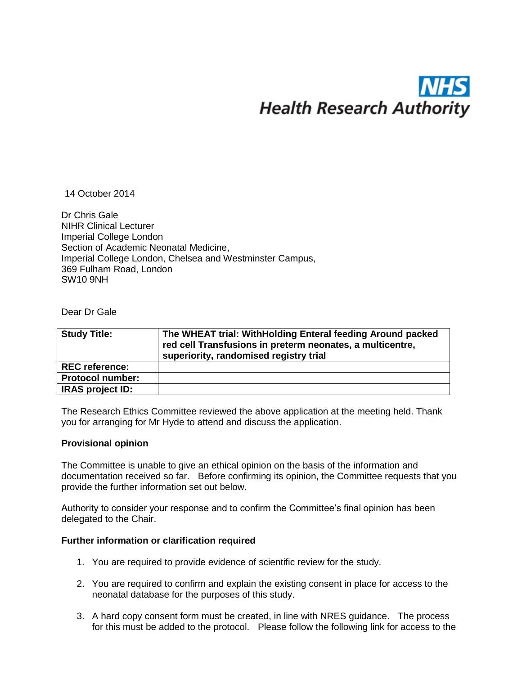# **Health Research Authority**

14 October 2014

Dr Chris Gale NIHR Clinical Lecturer Imperial College London Section of Academic Neonatal Medicine, Imperial College London, Chelsea and Westminster Campus, 369 Fulham Road, London SW10 9NH

Dear Dr Gale

| <b>Study Title:</b>     | The WHEAT trial: WithHolding Enteral feeding Around packed<br>red cell Transfusions in preterm neonates, a multicentre,<br>superiority, randomised registry trial |
|-------------------------|-------------------------------------------------------------------------------------------------------------------------------------------------------------------|
| <b>REC reference:</b>   |                                                                                                                                                                   |
| <b>Protocol number:</b> |                                                                                                                                                                   |
| <b>IRAS project ID:</b> |                                                                                                                                                                   |

The Research Ethics Committee reviewed the above application at the meeting held. Thank you for arranging for Mr Hyde to attend and discuss the application.

# **Provisional opinion**

The Committee is unable to give an ethical opinion on the basis of the information and documentation received so far. Before confirming its opinion, the Committee requests that you provide the further information set out below.

Authority to consider your response and to confirm the Committee's final opinion has been delegated to the Chair.

# **Further information or clarification required**

- 1. You are required to provide evidence of scientific review for the study.
- 2. You are required to confirm and explain the existing consent in place for access to the neonatal database for the purposes of this study.
- 3. A hard copy consent form must be created, in line with NRES guidance. The process for this must be added to the protocol. Please follow the following link for access to the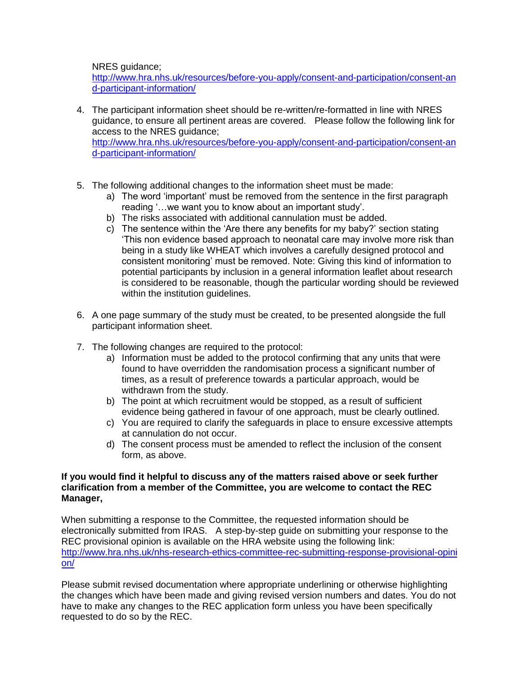NRES guidance;

[http://www.hra.nhs.uk/resources/before-you-apply/consent-and-participation/consent-an](http://www.hra.nhs.uk/resources/before-you-apply/consent-and-participation/consent-and-participant-information/) [d-participant-information/](http://www.hra.nhs.uk/resources/before-you-apply/consent-and-participation/consent-and-participant-information/)

- 4. The participant information sheet should be re-written/re-formatted in line with NRES guidance, to ensure all pertinent areas are covered. Please follow the following link for access to the NRES guidance; [http://www.hra.nhs.uk/resources/before-you-apply/consent-and-participation/consent-an](http://www.hra.nhs.uk/resources/before-you-apply/consent-and-participation/consent-and-participant-information/) [d-participant-information/](http://www.hra.nhs.uk/resources/before-you-apply/consent-and-participation/consent-and-participant-information/)
- 5. The following additional changes to the information sheet must be made:
	- a) The word 'important' must be removed from the sentence in the first paragraph reading '…we want you to know about an important study'.
	- b) The risks associated with additional cannulation must be added.
	- c) The sentence within the 'Are there any benefits for my baby?' section stating 'This non evidence based approach to neonatal care may involve more risk than being in a study like WHEAT which involves a carefully designed protocol and consistent monitoring' must be removed. Note: Giving this kind of information to potential participants by inclusion in a general information leaflet about research is considered to be reasonable, though the particular wording should be reviewed within the institution quidelines.
- 6. A one page summary of the study must be created, to be presented alongside the full participant information sheet.
- 7. The following changes are required to the protocol:
	- a) Information must be added to the protocol confirming that any units that were found to have overridden the randomisation process a significant number of times, as a result of preference towards a particular approach, would be withdrawn from the study.
	- b) The point at which recruitment would be stopped, as a result of sufficient evidence being gathered in favour of one approach, must be clearly outlined.
	- c) You are required to clarify the safeguards in place to ensure excessive attempts at cannulation do not occur.
	- d) The consent process must be amended to reflect the inclusion of the consent form, as above.

# **If you would find it helpful to discuss any of the matters raised above or seek further clarification from a member of the Committee, you are welcome to contact the REC Manager,**

When submitting a response to the Committee, the requested information should be electronically submitted from IRAS. A step-by-step guide on submitting your response to the REC provisional opinion is available on the HRA website using the following link: [http://www.hra.nhs.uk/nhs-research-ethics-committee-rec-submitting-response-provisional-opini](http://www.hra.nhs.uk/nhs-research-ethics-committee-rec-submitting-response-provisional-opinion/) [on/](http://www.hra.nhs.uk/nhs-research-ethics-committee-rec-submitting-response-provisional-opinion/)

Please submit revised documentation where appropriate underlining or otherwise highlighting the changes which have been made and giving revised version numbers and dates. You do not have to make any changes to the REC application form unless you have been specifically requested to do so by the REC.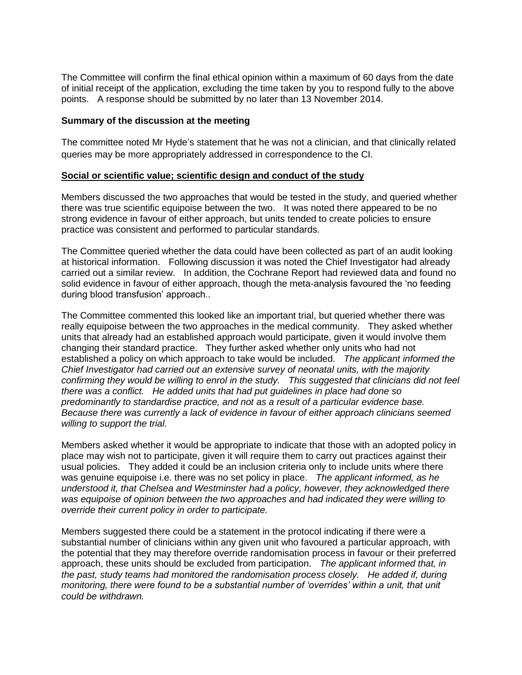The Committee will confirm the final ethical opinion within a maximum of 60 days from the date of initial receipt of the application, excluding the time taken by you to respond fully to the above points. A response should be submitted by no later than 13 November 2014.

#### **Summary of the discussion at the meeting**

The committee noted Mr Hyde's statement that he was not a clinician, and that clinically related queries may be more appropriately addressed in correspondence to the CI.

#### **Social or scientific value; scientific design and conduct of the study**

Members discussed the two approaches that would be tested in the study, and queried whether there was true scientific equipoise between the two. It was noted there appeared to be no strong evidence in favour of either approach, but units tended to create policies to ensure practice was consistent and performed to particular standards.

The Committee queried whether the data could have been collected as part of an audit looking at historical information. Following discussion it was noted the Chief Investigator had already carried out a similar review. In addition, the Cochrane Report had reviewed data and found no solid evidence in favour of either approach, though the meta-analysis favoured the 'no feeding during blood transfusion' approach..

The Committee commented this looked like an important trial, but queried whether there was really equipoise between the two approaches in the medical community. They asked whether units that already had an established approach would participate, given it would involve them changing their standard practice. They further asked whether only units who had not established a policy on which approach to take would be included. *The applicant informed the Chief Investigator had carried out an extensive survey of neonatal units, with the majority confirming they would be willing to enrol in the study. This suggested that clinicians did not feel there was a conflict. He added units that had put guidelines in place had done so predominantly to standardise practice, and not as a result of a particular evidence base. Because there was currently a lack of evidence in favour of either approach clinicians seemed willing to support the trial.*

Members asked whether it would be appropriate to indicate that those with an adopted policy in place may wish not to participate, given it will require them to carry out practices against their usual policies. They added it could be an inclusion criteria only to include units where there was genuine equipoise i.e. there was no set policy in place. *The applicant informed, as he understood it, that Chelsea and Westminster had a policy, however, they acknowledged there was equipoise of opinion between the two approaches and had indicated they were willing to override their current policy in order to participate.*

Members suggested there could be a statement in the protocol indicating if there were a substantial number of clinicians within any given unit who favoured a particular approach, with the potential that they may therefore override randomisation process in favour or their preferred approach, these units should be excluded from participation. *The applicant informed that, in the past, study teams had monitored the randomisation process closely. He added if, during*  monitoring, there were found to be a substantial number of 'overrides' within a unit, that unit *could be withdrawn.*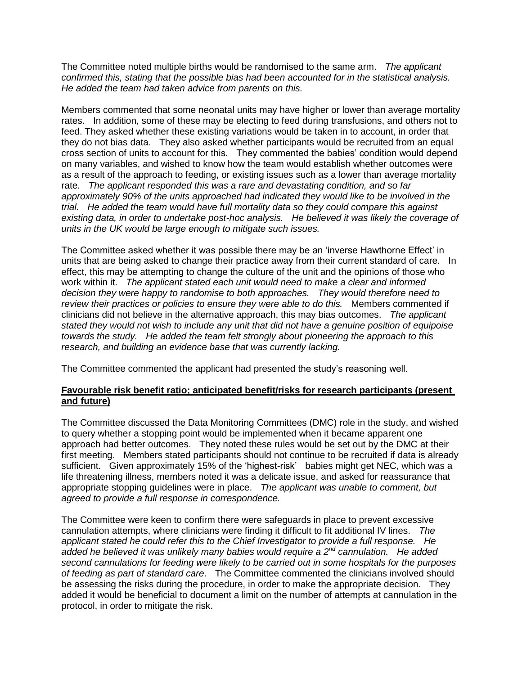The Committee noted multiple births would be randomised to the same arm. *The applicant confirmed this, stating that the possible bias had been accounted for in the statistical analysis. He added the team had taken advice from parents on this.* 

Members commented that some neonatal units may have higher or lower than average mortality rates. In addition, some of these may be electing to feed during transfusions, and others not to feed. They asked whether these existing variations would be taken in to account, in order that they do not bias data. They also asked whether participants would be recruited from an equal cross section of units to account for this. They commented the babies' condition would depend on many variables, and wished to know how the team would establish whether outcomes were as a result of the approach to feeding, or existing issues such as a lower than average mortality rate*. The applicant responded this was a rare and devastating condition, and so far approximately 90% of the units approached had indicated they would like to be involved in the trial. He added the team would have full mortality data so they could compare this against existing data, in order to undertake post-hoc analysis. He believed it was likely the coverage of units in the UK would be large enough to mitigate such issues.* 

The Committee asked whether it was possible there may be an 'inverse Hawthorne Effect' in units that are being asked to change their practice away from their current standard of care. In effect, this may be attempting to change the culture of the unit and the opinions of those who work within it. *The applicant stated each unit would need to make a clear and informed decision they were happy to randomise to both approaches. They would therefore need to review their practices or policies to ensure they were able to do this.* Members commented if clinicians did not believe in the alternative approach, this may bias outcomes. *The applicant stated they would not wish to include any unit that did not have a genuine position of equipoise towards the study. He added the team felt strongly about pioneering the approach to this research, and building an evidence base that was currently lacking.* 

The Committee commented the applicant had presented the study's reasoning well.

# **Favourable risk benefit ratio; anticipated benefit/risks for research participants (present and future)**

The Committee discussed the Data Monitoring Committees (DMC) role in the study, and wished to query whether a stopping point would be implemented when it became apparent one approach had better outcomes. They noted these rules would be set out by the DMC at their first meeting. Members stated participants should not continue to be recruited if data is already sufficient. Given approximately 15% of the 'highest-risk' babies might get NEC, which was a life threatening illness, members noted it was a delicate issue, and asked for reassurance that appropriate stopping guidelines were in place. *The applicant was unable to comment, but agreed to provide a full response in correspondence.*

The Committee were keen to confirm there were safeguards in place to prevent excessive cannulation attempts, where clinicians were finding it difficult to fit additional IV lines. *The applicant stated he could refer this to the Chief Investigator to provide a full response. He added he believed it was unlikely many babies would require a 2nd cannulation. He added second cannulations for feeding were likely to be carried out in some hospitals for the purposes of feeding as part of standard care*. The Committee commented the clinicians involved should be assessing the risks during the procedure, in order to make the appropriate decision. They added it would be beneficial to document a limit on the number of attempts at cannulation in the protocol, in order to mitigate the risk.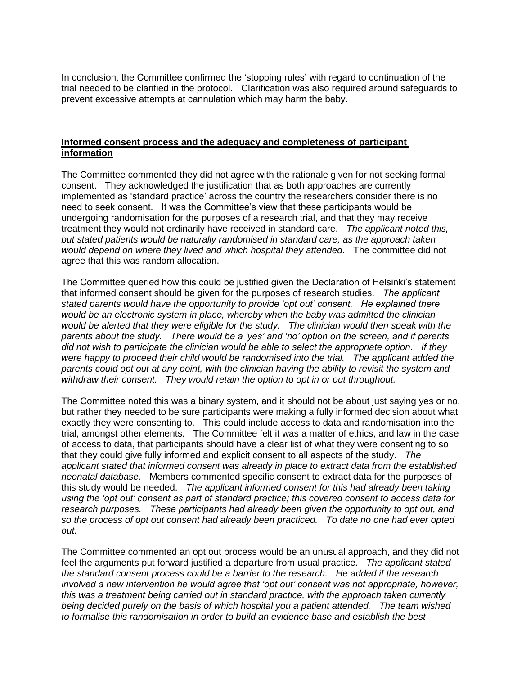In conclusion, the Committee confirmed the 'stopping rules' with regard to continuation of the trial needed to be clarified in the protocol. Clarification was also required around safeguards to prevent excessive attempts at cannulation which may harm the baby.

## **Informed consent process and the adequacy and completeness of participant information**

The Committee commented they did not agree with the rationale given for not seeking formal consent. They acknowledged the justification that as both approaches are currently implemented as 'standard practice' across the country the researchers consider there is no need to seek consent. It was the Committee's view that these participants would be undergoing randomisation for the purposes of a research trial, and that they may receive treatment they would not ordinarily have received in standard care. *The applicant noted this, but stated patients would be naturally randomised in standard care, as the approach taken would depend on where they lived and which hospital they attended.* The committee did not agree that this was random allocation.

The Committee queried how this could be justified given the Declaration of Helsinki's statement that informed consent should be given for the purposes of research studies. *The applicant stated parents would have the opportunity to provide 'opt out' consent. He explained there would be an electronic system in place, whereby when the baby was admitted the clinician would be alerted that they were eligible for the study. The clinician would then speak with the parents about the study. There would be a 'yes' and 'no' option on the screen, and if parents did not wish to participate the clinician would be able to select the appropriate option. If they were happy to proceed their child would be randomised into the trial. The applicant added the parents could opt out at any point, with the clinician having the ability to revisit the system and withdraw their consent. They would retain the option to opt in or out throughout.* 

The Committee noted this was a binary system, and it should not be about just saying yes or no, but rather they needed to be sure participants were making a fully informed decision about what exactly they were consenting to. This could include access to data and randomisation into the trial, amongst other elements. The Committee felt it was a matter of ethics, and law in the case of access to data, that participants should have a clear list of what they were consenting to so that they could give fully informed and explicit consent to all aspects of the study. *The applicant stated that informed consent was already in place to extract data from the established neonatal database.* Members commented specific consent to extract data for the purposes of this study would be needed. *The applicant informed consent for this had already been taking using the 'opt out' consent as part of standard practice; this covered consent to access data for research purposes. These participants had already been given the opportunity to opt out, and so the process of opt out consent had already been practiced. To date no one had ever opted out.* 

The Committee commented an opt out process would be an unusual approach, and they did not feel the arguments put forward justified a departure from usual practice. *The applicant stated the standard consent process could be a barrier to the research. He added if the research involved a new intervention he would agree that 'opt out' consent was not appropriate, however, this was a treatment being carried out in standard practice, with the approach taken currently being decided purely on the basis of which hospital you a patient attended. The team wished to formalise this randomisation in order to build an evidence base and establish the best*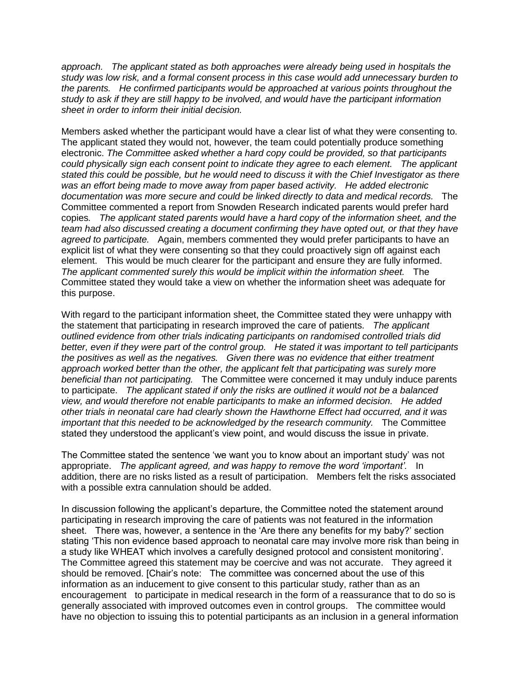*approach. The applicant stated as both approaches were already being used in hospitals the study was low risk, and a formal consent process in this case would add unnecessary burden to the parents. He confirmed participants would be approached at various points throughout the study to ask if they are still happy to be involved, and would have the participant information sheet in order to inform their initial decision.* 

Members asked whether the participant would have a clear list of what they were consenting to. The applicant stated they would not, however, the team could potentially produce something electronic. *The Committee asked whether a hard copy could be provided, so that participants could physically sign each consent point to indicate they agree to each element. The applicant stated this could be possible, but he would need to discuss it with the Chief Investigator as there was an effort being made to move away from paper based activity. He added electronic documentation was more secure and could be linked directly to data and medical records.* The Committee commented a report from Snowden Research indicated parents would prefer hard copies*. The applicant stated parents would have a hard copy of the information sheet, and the team had also discussed creating a document confirming they have opted out, or that they have agreed to participate.* Again, members commented they would prefer participants to have an explicit list of what they were consenting so that they could proactively sign off against each element.This would be much clearer for the participant and ensure they are fully informed. *The applicant commented surely this would be implicit within the information sheet.* The Committee stated they would take a view on whether the information sheet was adequate for this purpose.

With regard to the participant information sheet, the Committee stated they were unhappy with the statement that participating in research improved the care of patients. *The applicant outlined evidence from other trials indicating participants on randomised controlled trials did better, even if they were part of the control group. He stated it was important to tell participants the positives as well as the negatives. Given there was no evidence that either treatment approach worked better than the other, the applicant felt that participating was surely more beneficial than not participating.* The Committee were concerned it may unduly induce parents to participate. *The applicant stated if only the risks are outlined it would not be a balanced view, and would therefore not enable participants to make an informed decision. He added other trials in neonatal care had clearly shown the Hawthorne Effect had occurred, and it was important that this needed to be acknowledged by the research community.* The Committee stated they understood the applicant's view point, and would discuss the issue in private.

The Committee stated the sentence 'we want you to know about an important study' was not appropriate. *The applicant agreed, and was happy to remove the word 'important'.* In addition, there are no risks listed as a result of participation. Members felt the risks associated with a possible extra cannulation should be added.

In discussion following the applicant's departure, the Committee noted the statement around participating in research improving the care of patients was not featured in the information sheet. There was, however, a sentence in the 'Are there any benefits for my baby?' section stating 'This non evidence based approach to neonatal care may involve more risk than being in a study like WHEAT which involves a carefully designed protocol and consistent monitoring'. The Committee agreed this statement may be coercive and was not accurate. They agreed it should be removed. [Chair's note: The committee was concerned about the use of this information as an inducement to give consent to this particular study, rather than as an encouragement to participate in medical research in the form of a reassurance that to do so is generally associated with improved outcomes even in control groups. The committee would have no objection to issuing this to potential participants as an inclusion in a general information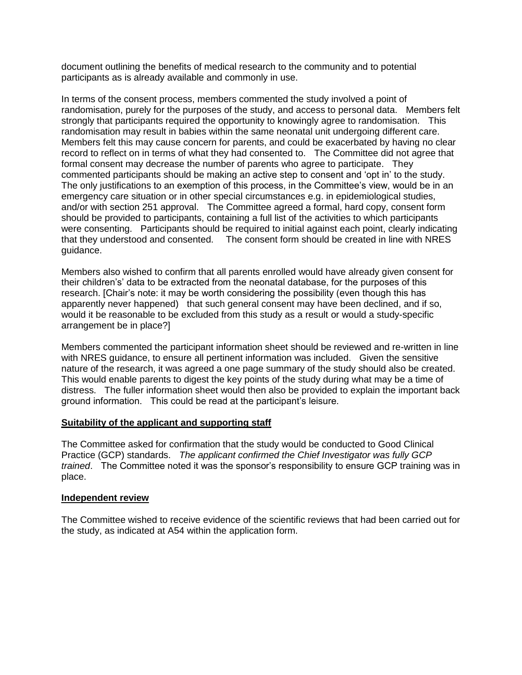document outlining the benefits of medical research to the community and to potential participants as is already available and commonly in use.

In terms of the consent process, members commented the study involved a point of randomisation, purely for the purposes of the study, and access to personal data. Members felt strongly that participants required the opportunity to knowingly agree to randomisation. This randomisation may result in babies within the same neonatal unit undergoing different care. Members felt this may cause concern for parents, and could be exacerbated by having no clear record to reflect on in terms of what they had consented to. The Committee did not agree that formal consent may decrease the number of parents who agree to participate. They commented participants should be making an active step to consent and 'opt in' to the study. The only justifications to an exemption of this process, in the Committee's view, would be in an emergency care situation or in other special circumstances e.g. in epidemiological studies, and/or with section 251 approval. The Committee agreed a formal, hard copy, consent form should be provided to participants, containing a full list of the activities to which participants were consenting. Participants should be required to initial against each point, clearly indicating that they understood and consented. The consent form should be created in line with NRES guidance.

Members also wished to confirm that all parents enrolled would have already given consent for their children's' data to be extracted from the neonatal database, for the purposes of this research. [Chair's note: it may be worth considering the possibility (even though this has apparently never happened) that such general consent may have been declined, and if so, would it be reasonable to be excluded from this study as a result or would a study-specific arrangement be in place?]

Members commented the participant information sheet should be reviewed and re-written in line with NRES guidance, to ensure all pertinent information was included. Given the sensitive nature of the research, it was agreed a one page summary of the study should also be created. This would enable parents to digest the key points of the study during what may be a time of distress. The fuller information sheet would then also be provided to explain the important back ground information. This could be read at the participant's leisure.

# **Suitability of the applicant and supporting staff**

The Committee asked for confirmation that the study would be conducted to Good Clinical Practice (GCP) standards. *The applicant confirmed the Chief Investigator was fully GCP trained*. The Committee noted it was the sponsor's responsibility to ensure GCP training was in place.

# **Independent review**

The Committee wished to receive evidence of the scientific reviews that had been carried out for the study, as indicated at A54 within the application form.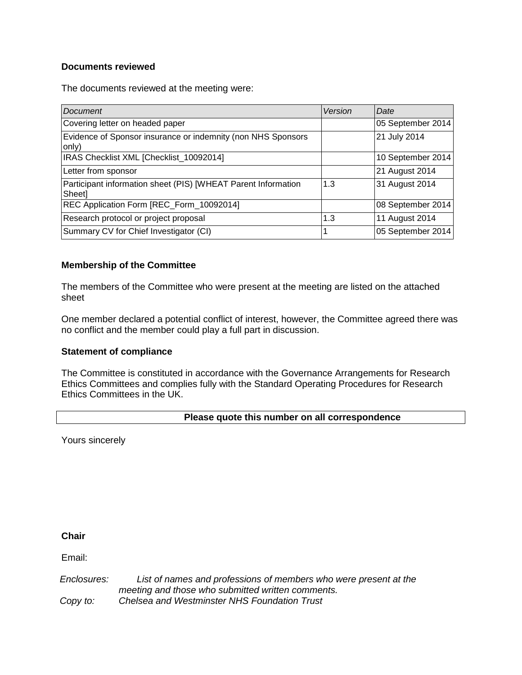# **Documents reviewed**

The documents reviewed at the meeting were:

| Document                                                                | Version | Date              |
|-------------------------------------------------------------------------|---------|-------------------|
| Covering letter on headed paper                                         |         | 05 September 2014 |
| Evidence of Sponsor insurance or indemnity (non NHS Sponsors<br>only)   |         | 21 July 2014      |
| IRAS Checklist XML [Checklist_10092014]                                 |         | 10 September 2014 |
| Letter from sponsor                                                     |         | 21 August 2014    |
| Participant information sheet (PIS) [WHEAT Parent Information<br>Sheet] | 1.3     | 31 August 2014    |
| REC Application Form [REC_Form_10092014]                                |         | 08 September 2014 |
| Research protocol or project proposal                                   | 1.3     | 11 August 2014    |
| Summary CV for Chief Investigator (CI)                                  |         | 05 September 2014 |

# **Membership of the Committee**

The members of the Committee who were present at the meeting are listed on the attached sheet

One member declared a potential conflict of interest, however, the Committee agreed there was no conflict and the member could play a full part in discussion.

# **Statement of compliance**

The Committee is constituted in accordance with the Governance Arrangements for Research Ethics Committees and complies fully with the Standard Operating Procedures for Research Ethics Committees in the UK.

# **Please quote this number on all correspondence**

Yours sincerely

# **Chair**

Email:

*Enclosures: Copy to: List of names and professions of members who were present at the meeting and those who submitted written comments. Chelsea and Westminster NHS Foundation Trust*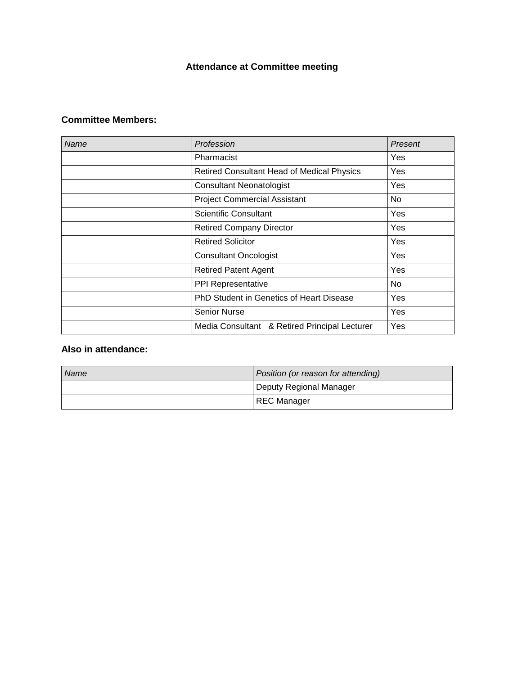# **Attendance at Committee meeting**

# **Committee Members:**

| Name | Profession                                        | Present |
|------|---------------------------------------------------|---------|
|      | Pharmacist                                        | Yes     |
|      | <b>Retired Consultant Head of Medical Physics</b> | Yes     |
|      | <b>Consultant Neonatologist</b>                   | Yes     |
|      | <b>Project Commercial Assistant</b>               | No      |
|      | <b>Scientific Consultant</b>                      | Yes     |
|      | <b>Retired Company Director</b>                   | Yes     |
|      | <b>Retired Solicitor</b>                          | Yes     |
|      | <b>Consultant Oncologist</b>                      | Yes     |
|      | <b>Retired Patent Agent</b>                       | Yes     |
|      | PPI Representative                                | No      |
|      | PhD Student in Genetics of Heart Disease          | Yes     |
|      | <b>Senior Nurse</b>                               | Yes     |
|      | Media Consultant & Retired Principal Lecturer     | Yes     |

# **Also in attendance:**

| Name | Position (or reason for attending) |
|------|------------------------------------|
|      | Deputy Regional Manager            |
|      | <b>REC Manager</b>                 |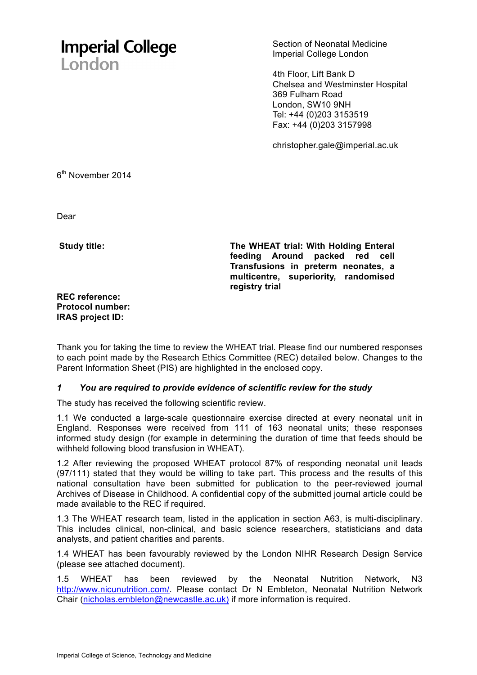# **Imperial College** London

Section of Neonatal Medicine Imperial College London

4th Floor, Lift Bank D Chelsea and Westminster Hospital 369 Fulham Road London, SW10 9NH Tel: +44 (0)203 3153519 Fax: +44 (0)203 3157998

christopher.gale@imperial.ac.uk

6<sup>th</sup> November 2014

Dear

**Study title:** 

**The WHEAT trial: With Holding Enteral feeding Around packed red cell Transfusions in preterm neonates, a multicentre, superiority, randomised registry trial** 

**REC reference: Protocol number: IRAS project ID:** 

Thank you for taking the time to review the WHEAT trial. Please find our numbered responses to each point made by the Research Ethics Committee (REC) detailed below. Changes to the Parent Information Sheet (PIS) are highlighted in the enclosed copy.

# *1 You are required to provide evidence of scientific review for the study*

The study has received the following scientific review.

1.1 We conducted a large-scale questionnaire exercise directed at every neonatal unit in England. Responses were received from 111 of 163 neonatal units; these responses informed study design (for example in determining the duration of time that feeds should be withheld following blood transfusion in WHEAT).

1.2 After reviewing the proposed WHEAT protocol 87% of responding neonatal unit leads (97/111) stated that they would be willing to take part. This process and the results of this national consultation have been submitted for publication to the peer-reviewed journal Archives of Disease in Childhood. A confidential copy of the submitted journal article could be made available to the REC if required.

1.3 The WHEAT research team, listed in the application in section A63, is multi-disciplinary. This includes clinical, non-clinical, and basic science researchers, statisticians and data analysts, and patient charities and parents.

1.4 WHEAT has been favourably reviewed by the London NIHR Research Design Service (please see attached document).

1.5 WHEAT has been reviewed by the Neonatal Nutrition Network, N3 http://www.nicunutrition.com/. Please contact Dr N Embleton. Neonatal Nutrition Network Chair (nicholas.embleton@newcastle.ac.uk) if more information is required.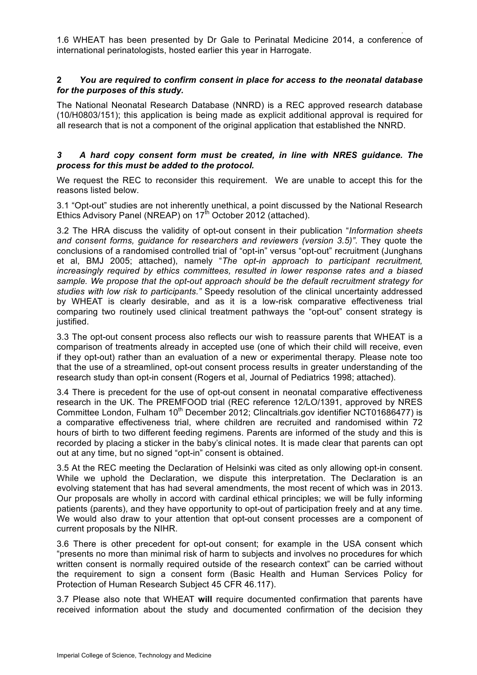. 1.6 WHEAT has been presented by Dr Gale to Perinatal Medicine 2014, a conference of international perinatologists, hosted earlier this year in Harrogate.

# **2** *You are required to confirm consent in place for access to the neonatal database for the purposes of this study.*

The National Neonatal Research Database (NNRD) is a REC approved research database (10/H0803/151); this application is being made as explicit additional approval is required for all research that is not a component of the original application that established the NNRD.

## *3 A hard copy consent form must be created, in line with NRES guidance. The process for this must be added to the protocol.*

We request the REC to reconsider this requirement. We are unable to accept this for the reasons listed below.

3.1 "Opt-out" studies are not inherently unethical, a point discussed by the National Research Ethics Advisory Panel (NREAP) on 17<sup>th</sup> October 2012 (attached).

3.2 The HRA discuss the validity of opt-out consent in their publication "*Information sheets and consent forms, guidance for researchers and reviewers (version 3.5)"*. They quote the conclusions of a randomised controlled trial of "opt-in" versus "opt-out" recruitment (Junghans et al, BMJ 2005; attached), namely "*The opt-in approach to participant recruitment, increasingly required by ethics committees, resulted in lower response rates and a biased sample. We propose that the opt-out approach should be the default recruitment strategy for studies with low risk to participants."* Speedy resolution of the clinical uncertainty addressed by WHEAT is clearly desirable, and as it is a low-risk comparative effectiveness trial comparing two routinely used clinical treatment pathways the "opt-out" consent strategy is justified.

3.3 The opt-out consent process also reflects our wish to reassure parents that WHEAT is a comparison of treatments already in accepted use (one of which their child will receive, even if they opt-out) rather than an evaluation of a new or experimental therapy. Please note too that the use of a streamlined, opt-out consent process results in greater understanding of the research study than opt-in consent (Rogers et al, Journal of Pediatrics 1998; attached).

3.4 There is precedent for the use of opt-out consent in neonatal comparative effectiveness research in the UK. The PREMFOOD trial (REC reference 12/LO/1391, approved by NRES Committee London, Fulham 10<sup>th</sup> December 2012; Clincaltrials.gov identifier NCT01686477) is a comparative effectiveness trial, where children are recruited and randomised within 72 hours of birth to two different feeding regimens. Parents are informed of the study and this is recorded by placing a sticker in the baby's clinical notes. It is made clear that parents can opt out at any time, but no signed "opt-in" consent is obtained.

3.5 At the REC meeting the Declaration of Helsinki was cited as only allowing opt-in consent. While we uphold the Declaration, we dispute this interpretation. The Declaration is an evolving statement that has had several amendments, the most recent of which was in 2013. Our proposals are wholly in accord with cardinal ethical principles; we will be fully informing patients (parents), and they have opportunity to opt-out of participation freely and at any time. We would also draw to your attention that opt-out consent processes are a component of current proposals by the NIHR.

3.6 There is other precedent for opt-out consent; for example in the USA consent which "presents no more than minimal risk of harm to subjects and involves no procedures for which written consent is normally required outside of the research context" can be carried without the requirement to sign a consent form (Basic Health and Human Services Policy for Protection of Human Research Subject 45 CFR 46.117).

3.7 Please also note that WHEAT **will** require documented confirmation that parents have received information about the study and documented confirmation of the decision they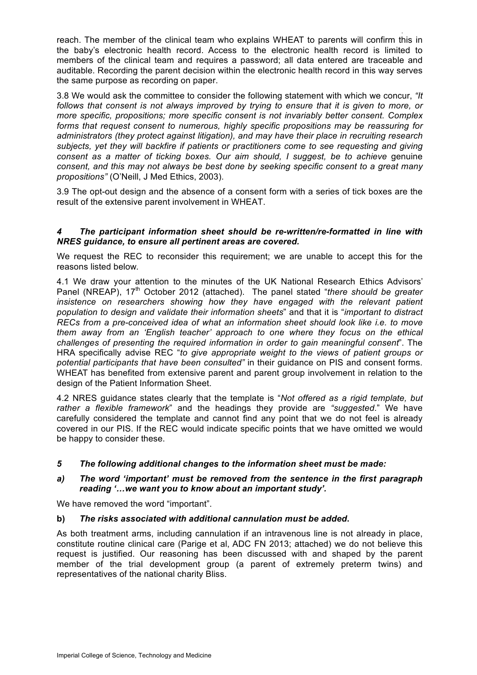. reach. The member of the clinical team who explains WHEAT to parents will confirm this in the baby's electronic health record. Access to the electronic health record is limited to members of the clinical team and requires a password; all data entered are traceable and auditable. Recording the parent decision within the electronic health record in this way serves the same purpose as recording on paper.

3.8 We would ask the committee to consider the following statement with which we concur, *"It follows that consent is not always improved by trying to ensure that it is given to more, or more specific, propositions; more specific consent is not invariably better consent. Complex forms that request consent to numerous, highly specific propositions may be reassuring for administrators (they protect against litigation), and may have their place in recruiting research subjects, yet they will backfire if patients or practitioners come to see requesting and giving consent as a matter of ticking boxes. Our aim should, I suggest, be to achieve* genuine *consent, and this may not always be best done by seeking specific consent to a great many propositions"* (O'Neill, J Med Ethics, 2003).

3.9 The opt-out design and the absence of a consent form with a series of tick boxes are the result of the extensive parent involvement in WHEAT.

# *4 The participant information sheet should be re-written/re-formatted in line with NRES guidance, to ensure all pertinent areas are covered.*

We request the REC to reconsider this requirement; we are unable to accept this for the reasons listed below.

4.1 We draw your attention to the minutes of the UK National Research Ethics Advisors' Panel (NREAP), 17<sup>th</sup> October 2012 (attached). The panel stated "*there should be greater* insistence on researchers showing how they have engaged with the relevant patient *population to design and validate their information sheets*" and that it is "*important to distract RECs from a pre-conceived idea of what an information sheet should look like i.e. to move them away from an 'English teacher' approach to one where they focus on the ethical challenges of presenting the required information in order to gain meaningful consent*". The HRA specifically advise REC "*to give appropriate weight to the views of patient groups or potential participants that have been consulted"* in their guidance on PIS and consent forms. WHEAT has benefited from extensive parent and parent group involvement in relation to the design of the Patient Information Sheet.

4.2 NRES guidance states clearly that the template is "*Not offered as a rigid template, but rather a flexible framework*" and the headings they provide are *"suggested*." We have carefully considered the template and cannot find any point that we do not feel is already covered in our PIS. If the REC would indicate specific points that we have omitted we would be happy to consider these.

# *5 The following additional changes to the information sheet must be made:*

# *a) The word 'important' must be removed from the sentence in the first paragraph reading '…we want you to know about an important study'.*

We have removed the word "important".

# **b)** *The risks associated with additional cannulation must be added***.**

As both treatment arms, including cannulation if an intravenous line is not already in place, constitute routine clinical care (Parige et al, ADC FN 2013; attached) we do not believe this request is justified. Our reasoning has been discussed with and shaped by the parent member of the trial development group (a parent of extremely preterm twins) and representatives of the national charity Bliss.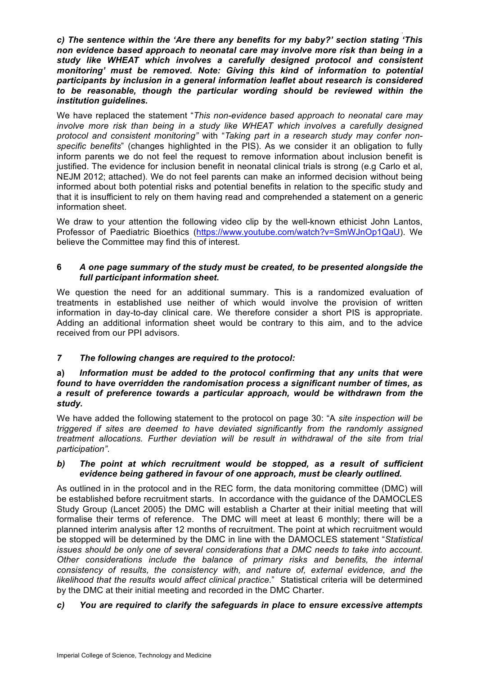. *c) The sentence within the 'Are there any benefits for my baby?' section stating 'This non evidence based approach to neonatal care may involve more risk than being in a study like WHEAT which involves a carefully designed protocol and consistent monitoring' must be removed. Note: Giving this kind of information to potential participants by inclusion in a general information leaflet about research is considered to be reasonable, though the particular wording should be reviewed within the institution guidelines.*

We have replaced the statement "*This non-evidence based approach to neonatal care may involve more risk than being in a study like WHEAT which involves a carefully designed protocol and consistent monitoring"* with "*Taking part in a research study may confer nonspecific benefits*" (changes highlighted in the PIS). As we consider it an obligation to fully inform parents we do not feel the request to remove information about inclusion benefit is justified. The evidence for inclusion benefit in neonatal clinical trials is strong (e.g Carlo et al, NEJM 2012; attached). We do not feel parents can make an informed decision without being informed about both potential risks and potential benefits in relation to the specific study and that it is insufficient to rely on them having read and comprehended a statement on a generic information sheet.

We draw to your attention the following video clip by the well-known ethicist John Lantos, Professor of Paediatric Bioethics (https://www.youtube.com/watch?v=SmWJnOp1QaU). We believe the Committee may find this of interest.

# **6** *A one page summary of the study must be created, to be presented alongside the full participant information sheet***.**

We question the need for an additional summary. This is a randomized evaluation of treatments in established use neither of which would involve the provision of written information in day-to-day clinical care. We therefore consider a short PIS is appropriate. Adding an additional information sheet would be contrary to this aim, and to the advice received from our PPI advisors.

# *7 The following changes are required to the protocol:*

# **a)** *Information must be added to the protocol confirming that any units that were found to have overridden the randomisation process a significant number of times, as a result of preference towards a particular approach, would be withdrawn from the study.*

We have added the following statement to the protocol on page 30: "A *site inspection will be triggered if sites are deemed to have deviated significantly from the randomly assigned treatment allocations. Further deviation will be result in withdrawal of the site from trial participation"*.

## *b) The point at which recruitment would be stopped, as a result of sufficient evidence being gathered in favour of one approach, must be clearly outlined.*

As outlined in in the protocol and in the REC form, the data monitoring committee (DMC) will be established before recruitment starts. In accordance with the guidance of the DAMOCLES Study Group (Lancet 2005) the DMC will establish a Charter at their initial meeting that will formalise their terms of reference. The DMC will meet at least 6 monthly; there will be a planned interim analysis after 12 months of recruitment. The point at which recruitment would be stopped will be determined by the DMC in line with the DAMOCLES statement "*Statistical issues should be only one of several considerations that a DMC needs to take into account. Other considerations include the balance of primary risks and benefits, the internal consistency of results, the consistency with, and nature of, external evidence, and the likelihood that the results would affect clinical practice.*" Statistical criteria will be determined by the DMC at their initial meeting and recorded in the DMC Charter.

# *c) You are required to clarify the safeguards in place to ensure excessive attempts*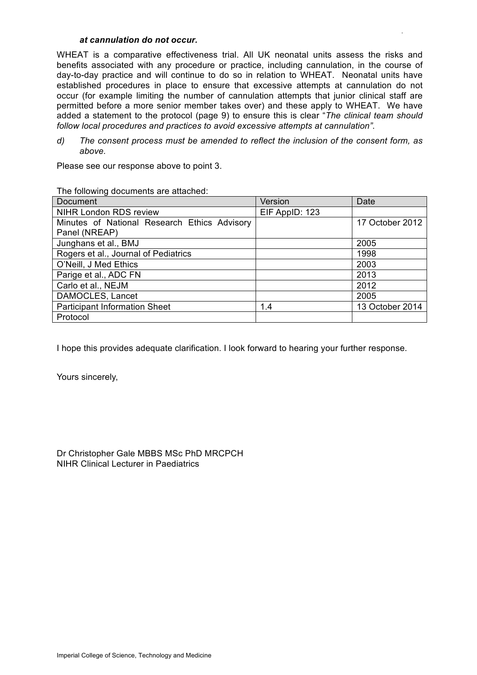# *at cannulation do not occur.*

WHEAT is a comparative effectiveness trial. All UK neonatal units assess the risks and benefits associated with any procedure or practice, including cannulation, in the course of day-to-day practice and will continue to do so in relation to WHEAT. Neonatal units have established procedures in place to ensure that excessive attempts at cannulation do not occur (for example limiting the number of cannulation attempts that junior clinical staff are permitted before a more senior member takes over) and these apply to WHEAT. We have added a statement to the protocol (page 9) to ensure this is clear "*The clinical team should follow local procedures and practices to avoid excessive attempts at cannulation"*.

.

*d) The consent process must be amended to reflect the inclusion of the consent form, as above.*

Please see our response above to point 3.

| Document                                     | Version        | Date            |
|----------------------------------------------|----------------|-----------------|
| NIHR London RDS review                       | EIF AppID: 123 |                 |
| Minutes of National Research Ethics Advisory |                | 17 October 2012 |
| Panel (NREAP)                                |                |                 |
| Junghans et al., BMJ                         |                | 2005            |
| Rogers et al., Journal of Pediatrics         |                | 1998            |
| O'Neill, J Med Ethics                        |                | 2003            |
| Parige et al., ADC FN                        |                | 2013            |
| Carlo et al., NEJM                           |                | 2012            |
| DAMOCLES, Lancet                             |                | 2005            |
| <b>Participant Information Sheet</b>         | 1.4            | 13 October 2014 |
| Protocol                                     |                |                 |

The following documents are attached:

I hope this provides adequate clarification. I look forward to hearing your further response.

Yours sincerely,

Dr Christopher Gale MBBS MSc PhD MRCPCH NIHR Clinical Lecturer in Paediatrics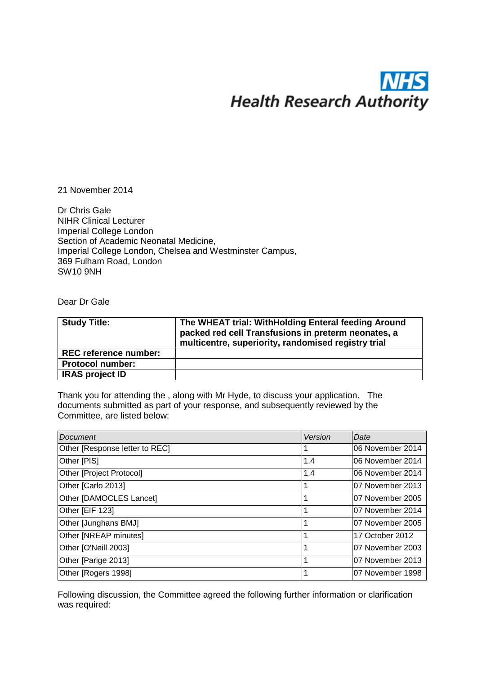# W **Health Research Authority**

21 November 2014

Dr Chris Gale NIHR Clinical Lecturer Imperial College London Section of Academic Neonatal Medicine, Imperial College London, Chelsea and Westminster Campus, 369 Fulham Road, London SW10 9NH

Dear Dr Gale

| <b>Study Title:</b>          | The WHEAT trial: WithHolding Enteral feeding Around<br>packed red cell Transfusions in preterm neonates, a<br>multicentre, superiority, randomised registry trial |
|------------------------------|-------------------------------------------------------------------------------------------------------------------------------------------------------------------|
| <b>REC reference number:</b> |                                                                                                                                                                   |
| <b>Protocol number:</b>      |                                                                                                                                                                   |
| <b>IRAS project ID</b>       |                                                                                                                                                                   |

Thank you for attending the , along with Mr Hyde, to discuss your application. The documents submitted as part of your response, and subsequently reviewed by the Committee, are listed below:

| Document                       | Version | Date             |
|--------------------------------|---------|------------------|
| Other [Response letter to REC] |         | 06 November 2014 |
| Other [PIS]                    | 1.4     | 06 November 2014 |
| Other [Project Protocol]       | 1.4     | 06 November 2014 |
| Other [Carlo 2013]             |         | 07 November 2013 |
| Other [DAMOCLES Lancet]        |         | 07 November 2005 |
| Other [EIF 123]                |         | 07 November 2014 |
| Other [Junghans BMJ]           |         | 07 November 2005 |
| Other [NREAP minutes]          |         | 17 October 2012  |
| Other [O'Neill 2003]           |         | 07 November 2003 |
| Other [Parige 2013]            |         | 07 November 2013 |
| Other [Rogers 1998]            |         | 07 November 1998 |

Following discussion, the Committee agreed the following further information or clarification was required: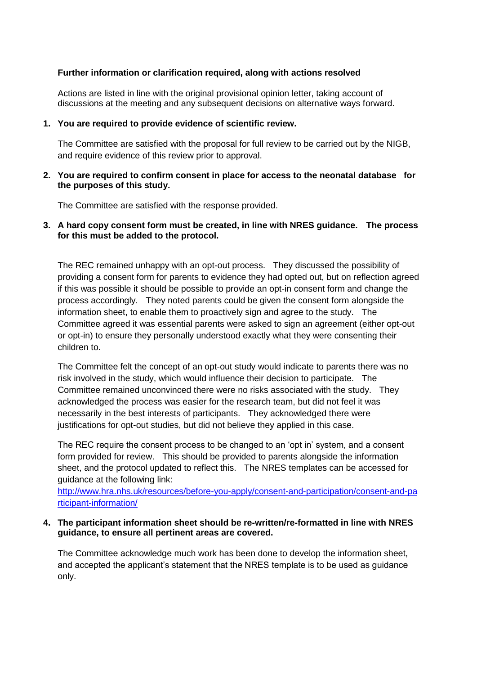# **Further information or clarification required, along with actions resolved**

Actions are listed in line with the original provisional opinion letter, taking account of discussions at the meeting and any subsequent decisions on alternative ways forward.

# **1. You are required to provide evidence of scientific review.**

The Committee are satisfied with the proposal for full review to be carried out by the NIGB, and require evidence of this review prior to approval.

# **2. You are required to confirm consent in place for access to the neonatal database for the purposes of this study.**

The Committee are satisfied with the response provided.

# **3. A hard copy consent form must be created, in line with NRES guidance. The process for this must be added to the protocol.**

The REC remained unhappy with an opt-out process. They discussed the possibility of providing a consent form for parents to evidence they had opted out, but on reflection agreed if this was possible it should be possible to provide an opt-in consent form and change the process accordingly. They noted parents could be given the consent form alongside the information sheet, to enable them to proactively sign and agree to the study. The Committee agreed it was essential parents were asked to sign an agreement (either opt-out or opt-in) to ensure they personally understood exactly what they were consenting their children to.

The Committee felt the concept of an opt-out study would indicate to parents there was no risk involved in the study, which would influence their decision to participate. The Committee remained unconvinced there were no risks associated with the study. They acknowledged the process was easier for the research team, but did not feel it was necessarily in the best interests of participants. They acknowledged there were justifications for opt-out studies, but did not believe they applied in this case.

The REC require the consent process to be changed to an 'opt in' system, and a consent form provided for review. This should be provided to parents alongside the information sheet, and the protocol updated to reflect this. The NRES templates can be accessed for guidance at the following link:

[http://www.hra.nhs.uk/resources/before-you-apply/consent-and-participation/consent-and-pa](http://www.hra.nhs.uk/resources/before-you-apply/consent-and-participation/consent-and-participant-information/) [rticipant-information/](http://www.hra.nhs.uk/resources/before-you-apply/consent-and-participation/consent-and-participant-information/) 

# **4. The participant information sheet should be re-written/re-formatted in line with NRES guidance, to ensure all pertinent areas are covered.**

The Committee acknowledge much work has been done to develop the information sheet, and accepted the applicant's statement that the NRES template is to be used as guidance only.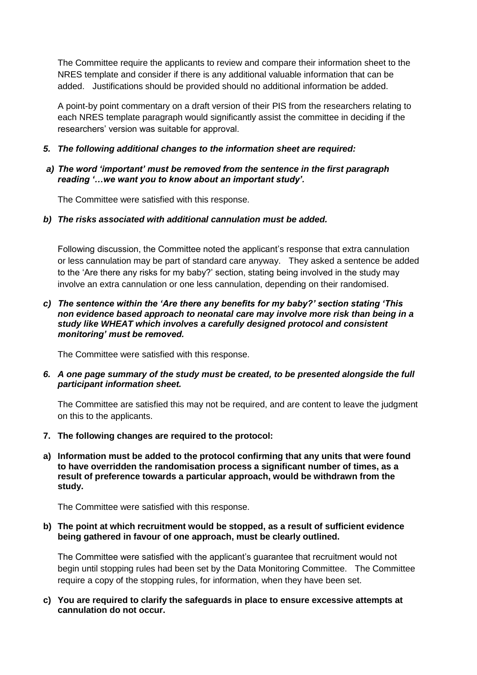The Committee require the applicants to review and compare their information sheet to the NRES template and consider if there is any additional valuable information that can be added. Justifications should be provided should no additional information be added.

A point-by point commentary on a draft version of their PIS from the researchers relating to each NRES template paragraph would significantly assist the committee in deciding if the researchers' version was suitable for approval.

*5. The following additional changes to the information sheet are required:*

# *a) The word 'important' must be removed from the sentence in the first paragraph reading '…we want you to know about an important study'.*

The Committee were satisfied with this response.

*b) The risks associated with additional cannulation must be added.*

Following discussion, the Committee noted the applicant's response that extra cannulation or less cannulation may be part of standard care anyway. They asked a sentence be added to the 'Are there any risks for my baby?' section, stating being involved in the study may involve an extra cannulation or one less cannulation, depending on their randomised.

# *c) The sentence within the 'Are there any benefits for my baby?' section stating 'This non evidence based approach to neonatal care may involve more risk than being in a study like WHEAT which involves a carefully designed protocol and consistent monitoring' must be removed.*

The Committee were satisfied with this response.

*6. A one page summary of the study must be created, to be presented alongside the full participant information sheet.*

The Committee are satisfied this may not be required, and are content to leave the judgment on this to the applicants.

- **7. The following changes are required to the protocol:**
- **a) Information must be added to the protocol confirming that any units that were found to have overridden the randomisation process a significant number of times, as a result of preference towards a particular approach, would be withdrawn from the study.**

The Committee were satisfied with this response.

# **b) The point at which recruitment would be stopped, as a result of sufficient evidence being gathered in favour of one approach, must be clearly outlined.**

The Committee were satisfied with the applicant's guarantee that recruitment would not begin until stopping rules had been set by the Data Monitoring Committee. The Committee require a copy of the stopping rules, for information, when they have been set.

**c) You are required to clarify the safeguards in place to ensure excessive attempts at cannulation do not occur.**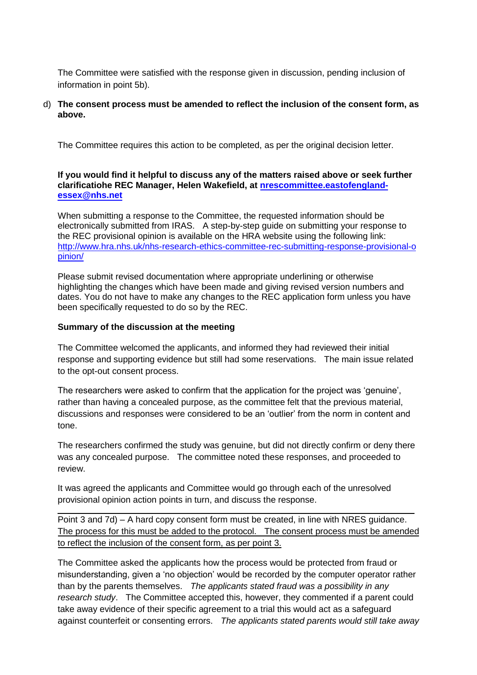The Committee were satisfied with the response given in discussion, pending inclusion of information in point 5b).

# d) **The consent process must be amended to reflect the inclusion of the consent form, as above.**

The Committee requires this action to be completed, as per the original decision letter.

# **If you would find it helpful to discuss any of the matters raised above or seek further clarificatiohe REC Manager, [Helen Wakefield, at nrescommittee.eastofenglan](mailto:nrescommittee.eastofengland-essex@nhs.net)dessex@nhs.net**

When submitting a response to the Committee, the requested information should be electronically submitted from IRAS. A step-by-step guide on submitting your response to [the REC provisional opinion is available on the HRA website using the following link:](http://www.hra.nhs.uk/nhs-research-ethics-committee-rec-submitting-response-provisional-opinion/)  [http://w](http://www.hra.nhs.uk/nhs-research-ethics-committee-rec-submitting-response-provisional-opinion/)ww.hra.nhs.uk/nhs-research-ethics-committee-rec-submitting-response-provisional-o pinion/

Please submit revised documentation where appropriate underlining or otherwise highlighting the changes which have been made and giving revised version numbers and dates. You do not have to make any changes to the REC application form unless you have been specifically requested to do so by the REC.

# **Summary of the discussion at the meeting**

The Committee welcomed the applicants, and informed they had reviewed their initial response and supporting evidence but still had some reservations. The main issue related to the opt-out consent process.

The researchers were asked to confirm that the application for the project was 'genuine', rather than having a concealed purpose, as the committee felt that the previous material, discussions and responses were considered to be an 'outlier' from the norm in content and tone.

The researchers confirmed the study was genuine, but did not directly confirm or deny there was any concealed purpose. The committee noted these responses, and proceeded to review.

It was agreed the applicants and Committee would go through each of the unresolved provisional opinion action points in turn, and discuss the response.

Point 3 and 7d) – A hard copy consent form must be created, in line with NRES guidance. The process for this must be added to the protocol. The consent process must be amended to reflect the inclusion of the consent form, as per point 3.

The Committee asked the applicants how the process would be protected from fraud or misunderstanding, given a 'no objection' would be recorded by the computer operator rather than by the parents themselves. *The applicants stated fraud was a possibility in any research study*. The Committee accepted this, however, they commented if a parent could take away evidence of their specific agreement to a trial this would act as a safeguard against counterfeit or consenting errors. *The applicants stated parents would still take away*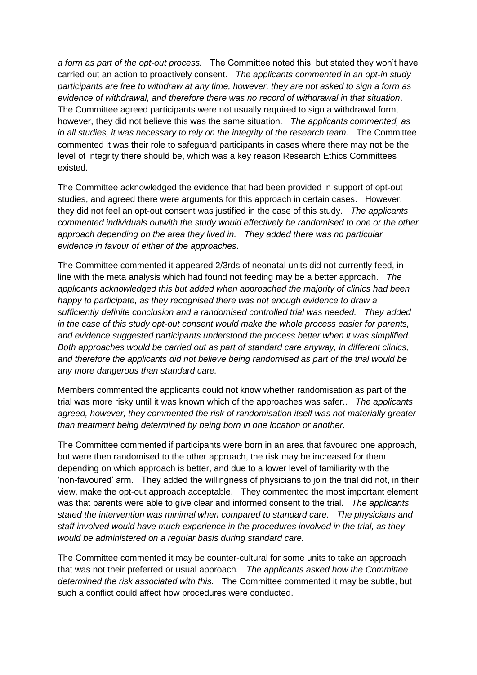*a form as part of the opt-out process.* The Committee noted this, but stated they won't have carried out an action to proactively consent*. The applicants commented in an opt-in study participants are free to withdraw at any time, however, they are not asked to sign a form as evidence of withdrawal, and therefore there was no record of withdrawal in that situation*. The Committee agreed participants were not usually required to sign a withdrawal form, however, they did not believe this was the same situation. *The applicants commented, as in all studies, it was necessary to rely on the integrity of the research team.* The Committee commented it was their role to safeguard participants in cases where there may not be the level of integrity there should be, which was a key reason Research Ethics Committees existed.

The Committee acknowledged the evidence that had been provided in support of opt-out studies, and agreed there were arguments for this approach in certain cases. However, they did not feel an opt-out consent was justified in the case of this study. *The applicants commented individuals outwith the study would effectively be randomised to one or the other approach depending on the area they lived in. They added there was no particular evidence in favour of either of the approaches*.

The Committee commented it appeared 2/3rds of neonatal units did not currently feed, in line with the meta analysis which had found not feeding may be a better approach. *The applicants acknowledged this but added when approached the majority of clinics had been happy to participate, as they recognised there was not enough evidence to draw a sufficiently definite conclusion and a randomised controlled trial was needed. They added in the case of this study opt-out consent would make the whole process easier for parents, and evidence suggested participants understood the process better when it was simplified. Both approaches would be carried out as part of standard care anyway, in different clinics, and therefore the applicants did not believe being randomised as part of the trial would be any more dangerous than standard care.* 

Members commented the applicants could not know whether randomisation as part of the trial was more risky until it was known which of the approaches was safer.. *The applicants agreed, however, they commented the risk of randomisation itself was not materially greater than treatment being determined by being born in one location or another.*

The Committee commented if participants were born in an area that favoured one approach, but were then randomised to the other approach, the risk may be increased for them depending on which approach is better, and due to a lower level of familiarity with the 'non-favoured' arm. They added the willingness of physicians to join the trial did not, in their view, make the opt-out approach acceptable. They commented the most important element was that parents were able to give clear and informed consent to the trial. *The applicants stated the intervention was minimal when compared to standard care. The physicians and staff involved would have much experience in the procedures involved in the trial, as they would be administered on a regular basis during standard care.* 

The Committee commented it may be counter-cultural for some units to take an approach that was not their preferred or usual approach*. The applicants asked how the Committee determined the risk associated with this.* The Committee commented it may be subtle, but such a conflict could affect how procedures were conducted.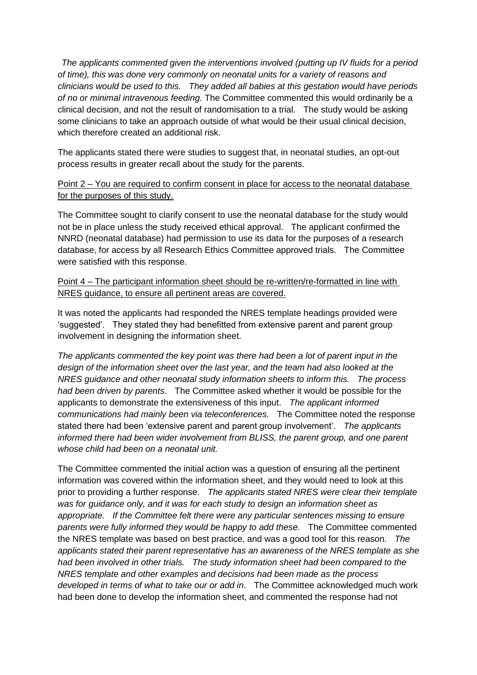*The applicants commented given the interventions involved (putting up IV fluids for a period of time), this was done very commonly on neonatal units for a variety of reasons and clinicians would be used to this. They added all babies at this gestation would have periods of no or minimal intravenous feeding.* The Committee commented this would ordinarily be a clinical decision, and not the result of randomisation to a trial. The study would be asking some clinicians to take an approach outside of what would be their usual clinical decision, which therefore created an additional risk.

The applicants stated there were studies to suggest that, in neonatal studies, an opt-out process results in greater recall about the study for the parents.

# Point 2 – You are required to confirm consent in place for access to the neonatal database for the purposes of this study.

The Committee sought to clarify consent to use the neonatal database for the study would not be in place unless the study received ethical approval. The applicant confirmed the NNRD (neonatal database) had permission to use its data for the purposes of a research database, for access by all Research Ethics Committee approved trials. The Committee were satisfied with this response.

# Point 4 – The participant information sheet should be re-written/re-formatted in line with NRES guidance, to ensure all pertinent areas are covered.

It was noted the applicants had responded the NRES template headings provided were 'suggested'. They stated they had benefitted from extensive parent and parent group involvement in designing the information sheet.

*The applicants commented the key point was there had been a lot of parent input in the design of the information sheet over the last year, and the team had also looked at the NRES guidance and other neonatal study information sheets to inform this. The process had been driven by parents*. The Committee asked whether it would be possible for the applicants to demonstrate the extensiveness of this input. *The applicant informed communications had mainly been via teleconferences.* The Committee noted the response stated there had been 'extensive parent and parent group involvement'. *The applicants informed there had been wider involvement from BLISS, the parent group, and one parent whose child had been on a neonatal unit.*

The Committee commented the initial action was a question of ensuring all the pertinent information was covered within the information sheet, and they would need to look at this prior to providing a further response. *The applicants stated NRES were clear their template was for guidance only, and it was for each study to design an information sheet as appropriate. If the Committee felt there were any particular sentences missing to ensure parents were fully informed they would be happy to add these.* The Committee commented the NRES template was based on best practice, and was a good tool for this reason. *The applicants stated their parent representative has an awareness of the NRES template as she had been involved in other trials. The study information sheet had been compared to the NRES template and other examples and decisions had been made as the process developed in terms of what to take our or add in*. The Committee acknowledged much work had been done to develop the information sheet, and commented the response had not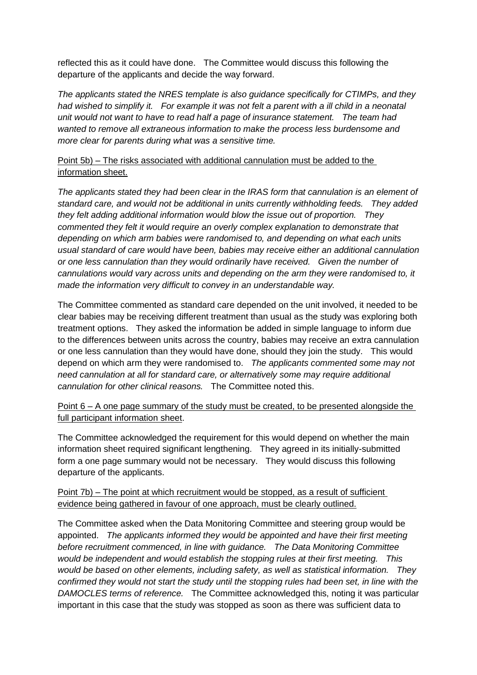reflected this as it could have done. The Committee would discuss this following the departure of the applicants and decide the way forward.

*The applicants stated the NRES template is also guidance specifically for CTIMPs, and they had wished to simplify it. For example it was not felt a parent with a ill child in a neonatal unit would not want to have to read half a page of insurance statement. The team had wanted to remove all extraneous information to make the process less burdensome and more clear for parents during what was a sensitive time.*

# Point 5b) – The risks associated with additional cannulation must be added to the information sheet.

*The applicants stated they had been clear in the IRAS form that cannulation is an element of standard care, and would not be additional in units currently withholding feeds. They added they felt adding additional information would blow the issue out of proportion. They commented they felt it would require an overly complex explanation to demonstrate that depending on which arm babies were randomised to, and depending on what each units usual standard of care would have been, babies may receive either an additional cannulation or one less cannulation than they would ordinarily have received. Given the number of cannulations would vary across units and depending on the arm they were randomised to, it made the information very difficult to convey in an understandable way.*

The Committee commented as standard care depended on the unit involved, it needed to be clear babies may be receiving different treatment than usual as the study was exploring both treatment options. They asked the information be added in simple language to inform due to the differences between units across the country, babies may receive an extra cannulation or one less cannulation than they would have done, should they join the study. This would depend on which arm they were randomised to. *The applicants commented some may not need cannulation at all for standard care, or alternatively some may require additional cannulation for other clinical reasons.* The Committee noted this.

Point 6 – A one page summary of the study must be created, to be presented alongside the full participant information sheet.

The Committee acknowledged the requirement for this would depend on whether the main information sheet required significant lengthening. They agreed in its initially-submitted form a one page summary would not be necessary. They would discuss this following departure of the applicants.

# Point 7b) – The point at which recruitment would be stopped, as a result of sufficient evidence being gathered in favour of one approach, must be clearly outlined.

The Committee asked when the Data Monitoring Committee and steering group would be appointed. *The applicants informed they would be appointed and have their first meeting before recruitment commenced, in line with guidance. The Data Monitoring Committee would be independent and would establish the stopping rules at their first meeting. This would be based on other elements, including safety, as well as statistical information. They confirmed they would not start the study until the stopping rules had been set, in line with the DAMOCLES terms of reference.* The Committee acknowledged this, noting it was particular important in this case that the study was stopped as soon as there was sufficient data to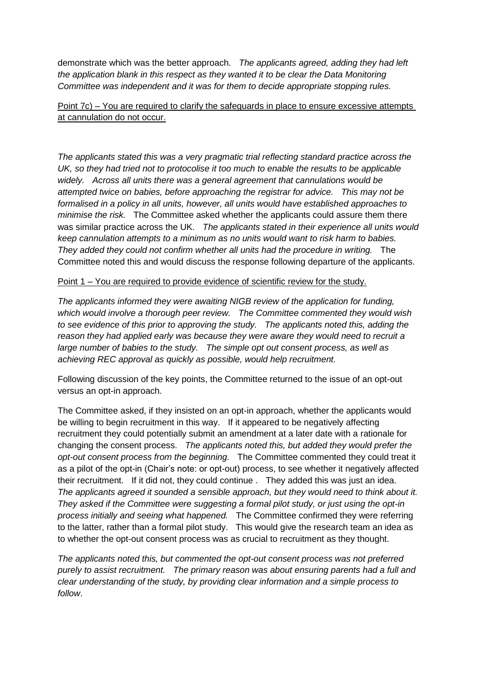demonstrate which was the better approach. *The applicants agreed, adding they had left the application blank in this respect as they wanted it to be clear the Data Monitoring Committee was independent and it was for them to decide appropriate stopping rules.*

# Point 7c) – You are required to clarify the safeguards in place to ensure excessive attempts at cannulation do not occur.

*The applicants stated this was a very pragmatic trial reflecting standard practice across the UK, so they had tried not to protocolise it too much to enable the results to be applicable widely. Across all units there was a general agreement that cannulations would be attempted twice on babies, before approaching the registrar for advice. This may not be formalised in a policy in all units, however, all units would have established approaches to minimise the risk.* The Committee asked whether the applicants could assure them there was similar practice across the UK. *The applicants stated in their experience all units would keep cannulation attempts to a minimum as no units would want to risk harm to babies. They added they could not confirm whether all units had the procedure in writing.* The Committee noted this and would discuss the response following departure of the applicants.

# Point 1 – You are required to provide evidence of scientific review for the study.

*The applicants informed they were awaiting NIGB review of the application for funding, which would involve a thorough peer review. The Committee commented they would wish to see evidence of this prior to approving the study. The applicants noted this, adding the reason they had applied early was because they were aware they would need to recruit a large number of babies to the study. The simple opt out consent process, as well as achieving REC approval as quickly as possible, would help recruitment.* 

Following discussion of the key points, the Committee returned to the issue of an opt-out versus an opt-in approach.

The Committee asked, if they insisted on an opt-in approach, whether the applicants would be willing to begin recruitment in this way. If it appeared to be negatively affecting recruitment they could potentially submit an amendment at a later date with a rationale for changing the consent process. *The applicants noted this, but added they would prefer the opt-out consent process from the beginning.* The Committee commented they could treat it as a pilot of the opt-in (Chair's note: or opt-out) process, to see whether it negatively affected their recruitment. If it did not, they could continue . They added this was just an idea. *The applicants agreed it sounded a sensible approach, but they would need to think about it. They asked if the Committee were suggesting a formal pilot study, or just using the opt-in process initially and seeing what happened.* The Committee confirmed they were referring to the latter, rather than a formal pilot study. This would give the research team an idea as to whether the opt-out consent process was as crucial to recruitment as they thought.

*The applicants noted this, but commented the opt-out consent process was not preferred purely to assist recruitment. The primary reason was about ensuring parents had a full and clear understanding of the study, by providing clear information and a simple process to follow*.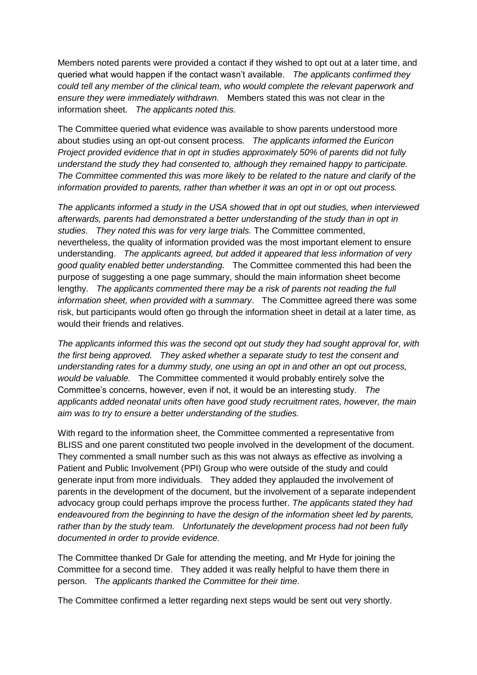Members noted parents were provided a contact if they wished to opt out at a later time, and queried what would happen if the contact wasn't available. *The applicants confirmed they could tell any member of the clinical team, who would complete the relevant paperwork and ensure they were immediately withdrawn.* Members stated this was not clear in the information sheet. *The applicants noted this.* 

The Committee queried what evidence was available to show parents understood more about studies using an opt-out consent process*. The applicants informed the Euricon Project provided evidence that in opt in studies approximately 50% of parents did not fully understand the study they had consented to, although they remained happy to participate. The Committee commented this was more likely to be related to the nature and clarify of the information provided to parents, rather than whether it was an opt in or opt out process.* 

*The applicants informed a study in the USA showed that in opt out studies, when interviewed afterwards, parents had demonstrated a better understanding of the study than in opt in studies. They noted this was for very large trials.* The Committee commented, nevertheless, the quality of information provided was the most important element to ensure understanding. *The applicants agreed, but added it appeared that less information of very good quality enabled better understanding.* The Committee commented this had been the purpose of suggesting a one page summary, should the main information sheet become lengthy. *The applicants commented there may be a risk of parents not reading the full information sheet, when provided with a summary*. The Committee agreed there was some risk, but participants would often go through the information sheet in detail at a later time, as would their friends and relatives.

*The applicants informed this was the second opt out study they had sought approval for, with the first being approved. They asked whether a separate study to test the consent and understanding rates for a dummy study, one using an opt in and other an opt out process, would be valuable.* The Committee commented it would probably entirely solve the Committee's concerns, however, even if not, it would be an interesting study. *The applicants added neonatal units often have good study recruitment rates, however, the main aim was to try to ensure a better understanding of the studies.*

With regard to the information sheet, the Committee commented a representative from BLISS and one parent constituted two people involved in the development of the document. They commented a small number such as this was not always as effective as involving a Patient and Public Involvement (PPI) Group who were outside of the study and could generate input from more individuals. They added they applauded the involvement of parents in the development of the document, but the involvement of a separate independent advocacy group could perhaps improve the process further. *The applicants stated they had endeavoured from the beginning to have the design of the information sheet led by parents, rather than by the study team. Unfortunately the development process had not been fully documented in order to provide evidence.* 

The Committee thanked Dr Gale for attending the meeting, and Mr Hyde for joining the Committee for a second time. They added it was really helpful to have them there in person. T*he applicants thanked the Committee for their time*.

The Committee confirmed a letter regarding next steps would be sent out very shortly.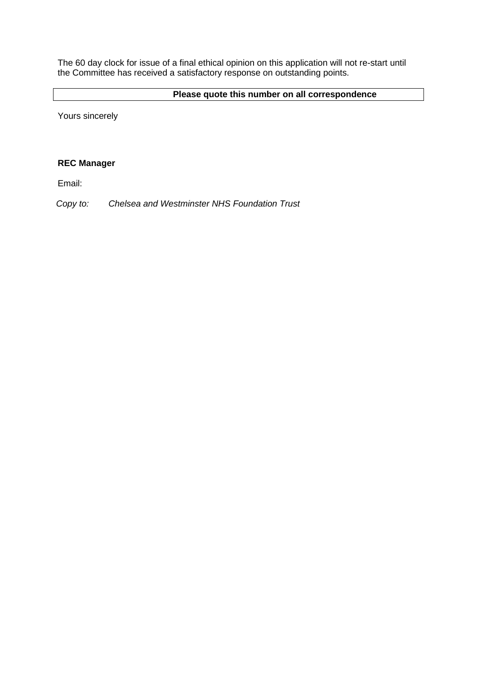The 60 day clock for issue of a final ethical opinion on this application will not re-start until the Committee has received a satisfactory response on outstanding points.

# **Please quote this number on all correspondence**

Yours sincerely

# **REC Manager**

Email:

*Copy to: Chelsea and Westminster NHS Foundation Trust*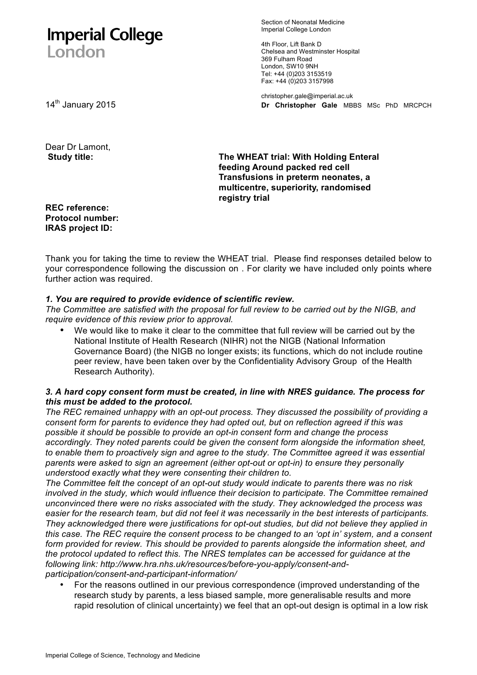# **Imperial College** London

Section of Neonatal Medicine Imperial College London

4th Floor, Lift Bank D Chelsea and Westminster Hospital 369 Fulham Road London, SW10 9NH Tel: +44 (0)203 3153519 Fax: +44 (0)203 3157998

christopher.gale@imperial.ac.uk 14th January 2015 **Dr Christopher Gale** MBBS MSc PhD MRCPCH

Dear Dr Lamont, **Study title:** 

**The WHEAT trial: With Holding Enteral feeding Around packed red cell Transfusions in preterm neonates, a multicentre, superiority, randomised registry trial** 

**REC reference: Protocol number: IRAS project ID:** 

Thank you for taking the time to review the WHEAT trial. Please find responses detailed below to your correspondence following the discussion on . For clarity we have included only points where further action was required.

# *1. You are required to provide evidence of scientific review.*

*The Committee are satisfied with the proposal for full review to be carried out by the NIGB, and require evidence of this review prior to approval.*

• We would like to make it clear to the committee that full review will be carried out by the National Institute of Health Research (NIHR) not the NIGB (National Information Governance Board) (the NIGB no longer exists; its functions, which do not include routine peer review, have been taken over by the Confidentiality Advisory Group of the Health Research Authority).

# *3. A hard copy consent form must be created, in line with NRES guidance. The process for this must be added to the protocol.*

*The REC remained unhappy with an opt-out process. They discussed the possibility of providing a consent form for parents to evidence they had opted out, but on reflection agreed if this was possible it should be possible to provide an opt-in consent form and change the process accordingly. They noted parents could be given the consent form alongside the information sheet, to enable them to proactively sign and agree to the study. The Committee agreed it was essential parents were asked to sign an agreement (either opt-out or opt-in) to ensure they personally understood exactly what they were consenting their children to.*

*The Committee felt the concept of an opt-out study would indicate to parents there was no risk involved in the study, which would influence their decision to participate. The Committee remained unconvinced there were no risks associated with the study. They acknowledged the process was easier for the research team, but did not feel it was necessarily in the best interests of participants. They acknowledged there were justifications for opt-out studies, but did not believe they applied in this case. The REC require the consent process to be changed to an 'opt in' system, and a consent form provided for review. This should be provided to parents alongside the information sheet, and the protocol updated to reflect this. The NRES templates can be accessed for guidance at the following link: http://www.hra.nhs.uk/resources/before-you-apply/consent-andparticipation/consent-and-participant-information/*

• For the reasons outlined in our previous correspondence (improved understanding of the research study by parents, a less biased sample, more generalisable results and more rapid resolution of clinical uncertainty) we feel that an opt-out design is optimal in a low risk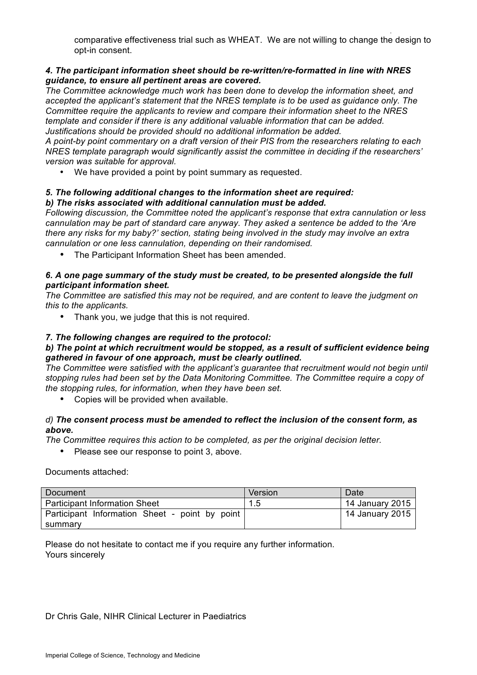. comparative effectiveness trial such as WHEAT. We are not willing to change the design to opt-in consent.

# *4. The participant information sheet should be re-written/re-formatted in line with NRES guidance, to ensure all pertinent areas are covered.*

*The Committee acknowledge much work has been done to develop the information sheet, and accepted the applicant's statement that the NRES template is to be used as guidance only. The Committee require the applicants to review and compare their information sheet to the NRES template and consider if there is any additional valuable information that can be added. Justifications should be provided should no additional information be added.*

*A point-by point commentary on a draft version of their PIS from the researchers relating to each NRES template paragraph would significantly assist the committee in deciding if the researchers' version was suitable for approval.*

• We have provided a point by point summary as requested.

#### *5. The following additional changes to the information sheet are required: b) The risks associated with additional cannulation must be added.*

*Following discussion, the Committee noted the applicant's response that extra cannulation or less cannulation may be part of standard care anyway. They asked a sentence be added to the 'Are there any risks for my baby?' section, stating being involved in the study may involve an extra cannulation or one less cannulation, depending on their randomised.*

• The Participant Information Sheet has been amended.

# *6. A one page summary of the study must be created, to be presented alongside the full participant information sheet.*

*The Committee are satisfied this may not be required, and are content to leave the judgment on this to the applicants.*

• Thank you, we judge that this is not required.

# *7. The following changes are required to the protocol:*

# *b) The point at which recruitment would be stopped, as a result of sufficient evidence being gathered in favour of one approach, must be clearly outlined.*

*The Committee were satisfied with the applicant's guarantee that recruitment would not begin until stopping rules had been set by the Data Monitoring Committee. The Committee require a copy of the stopping rules, for information, when they have been set.*

• Copies will be provided when available.

# *d) The consent process must be amended to reflect the inclusion of the consent form, as above.*

*The Committee requires this action to be completed, as per the original decision letter.*

• Please see our response to point 3, above.

Documents attached:

| Document                                       | Version | Date            |
|------------------------------------------------|---------|-----------------|
| <b>Participant Information Sheet</b>           | 1.5     | 14 January 2015 |
| Participant Information Sheet - point by point |         | 14 January 2015 |
| summary                                        |         |                 |

Please do not hesitate to contact me if you require any further information. Yours sincerely

# Dr Chris Gale, NIHR Clinical Lecturer in Paediatrics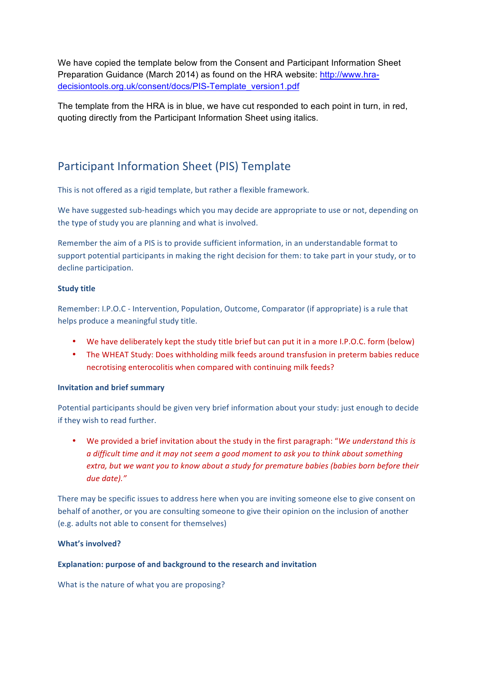We have copied the template below from the Consent and Participant Information Sheet Preparation Guidance (March 2014) as found on the HRA website: http://www.hradecisiontools.org.uk/consent/docs/PIS-Template\_version1.pdf

The template from the HRA is in blue, we have cut responded to each point in turn, in red, quoting directly from the Participant Information Sheet using italics.

# Participant Information Sheet (PIS) Template

This is not offered as a rigid template, but rather a flexible framework.

We have suggested sub-headings which you may decide are appropriate to use or not, depending on the type of study you are planning and what is involved.

Remember the aim of a PIS is to provide sufficient information, in an understandable format to support potential participants in making the right decision for them: to take part in your study, or to decline participation.

# **Study title**

Remember: I.P.O.C - Intervention, Population, Outcome, Comparator (if appropriate) is a rule that helps produce a meaningful study title.

- We have deliberately kept the study title brief but can put it in a more I.P.O.C. form (below)
- The WHEAT Study: Does withholding milk feeds around transfusion in preterm babies reduce necrotising enterocolitis when compared with continuing milk feeds?

## **Invitation and brief summary**

Potential participants should be given very brief information about your study: just enough to decide if they wish to read further.

• We provided a brief invitation about the study in the first paragraph: "We understand this is *a* difficult time and it may not seem a good moment to ask you to think about something *extra, but we want you to know about a study for premature babies (babies born before their due date)."*

There may be specific issues to address here when you are inviting someone else to give consent on behalf of another, or you are consulting someone to give their opinion on the inclusion of another (e.g. adults not able to consent for themselves)

## **What's involved?**

## **Explanation: purpose of and background to the research and invitation**

What is the nature of what you are proposing?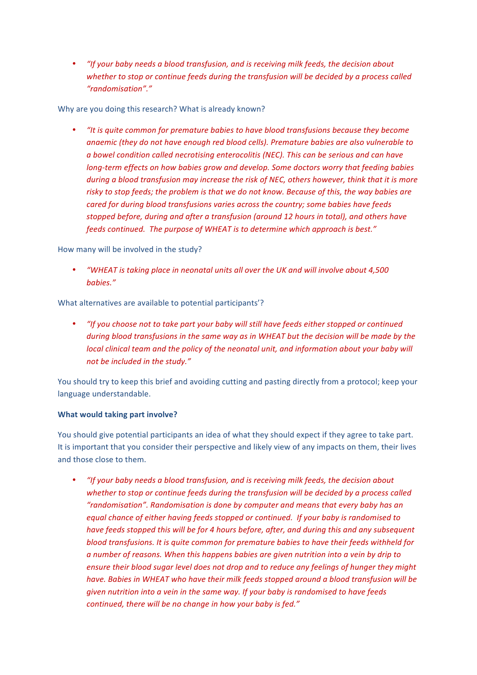• *"If your baby needs a blood transfusion, and is receiving milk feeds, the decision about* whether to stop or continue feeds during the transfusion will be decided by a process called *"randomisation"."*

Why are you doing this research? What is already known?

"It is quite common for premature babies to have blood transfusions because they become anaemic (they do not have enough red blood cells). Premature babies are also vulnerable to *a* bowel condition called necrotising enterocolitis (NEC). This can be serious and can have *long-term effects on how babies grow and develop. Some doctors worry that feeding babies during a blood transfusion may increase the risk of NEC, others however, think that it is more* risky to stop feeds; the problem is that we do not know. Because of this, the way babies are *cared for during blood transfusions varies across the country; some babies have feeds stopped before, during and after a transfusion (around 12 hours in total), and others have* feeds continued. The purpose of WHEAT is to determine which approach is best."

How many will be involved in the study?

*"WHEAT* is taking place in neonatal units all over the UK and will involve about 4,500 *babies."*

What alternatives are available to potential participants'?

"If you choose not to take part your baby will still have feeds either stopped or continued *during blood transfusions in the same way as in WHEAT but the decision will be made by the local clinical team and the policy of the neonatal unit, and information about your baby will* not be included in the study."

You should try to keep this brief and avoiding cutting and pasting directly from a protocol; keep your language understandable.

## **What would taking part involve?**

You should give potential participants an idea of what they should expect if they agree to take part. It is important that you consider their perspective and likely view of any impacts on them, their lives and those close to them.

"If your baby needs a blood transfusion, and is receiving milk feeds, the decision about whether to stop or continue feeds during the transfusion will be decided by a process called *"randomisation". Randomisation is done by computer and means that every baby has an equal* chance of either having feeds stopped or continued. If your baby is randomised to *have feeds stopped this will be for 4 hours before, after, and during this and any subsequent blood transfusions. It is quite common for premature babies to have their feeds withheld for a* number of reasons. When this happens babies are given nutrition into a vein by drip to ensure their blood sugar level does not drop and to reduce any feelings of hunger they might have. Babies in WHEAT who have their milk feeds stopped around a blood transfusion will be *given nutrition into a vein in the same way.* If your baby is randomised to have feeds *continued, there will be no change in how your baby is fed."*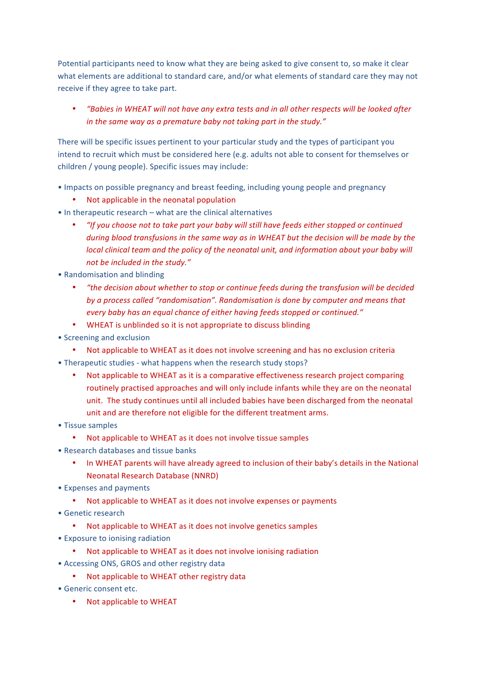Potential participants need to know what they are being asked to give consent to, so make it clear what elements are additional to standard care, and/or what elements of standard care they may not receive if they agree to take part.

• *"Babies in WHEAT will not have any extra tests and in all other respects will be looked after in* the same way as a premature baby not taking part in the study."

There will be specific issues pertinent to your particular study and the types of participant you intend to recruit which must be considered here (e.g. adults not able to consent for themselves or children / young people). Specific issues may include:

- Impacts on possible pregnancy and breast feeding, including young people and pregnancy
	- Not applicable in the neonatal population
- $\bullet$  In therapeutic research what are the clinical alternatives
	- *"If you choose not to take part your baby will still have feeds either stopped or continued during blood transfusions in the same way as in WHEAT but the decision will be made by the local clinical team and the policy of the neonatal unit, and information about your baby will* not be included in the study."
- Randomisation and blinding
	- *"the decision about whether to stop or continue feeds during the transfusion will be decided* by a process called "randomisation". Randomisation is done by computer and means that *every baby has an equal chance of either having feeds stopped or continued."*
	- WHEAT is unblinded so it is not appropriate to discuss blinding
- Screening and exclusion
	- Not applicable to WHEAT as it does not involve screening and has no exclusion criteria
- Therapeutic studies what happens when the research study stops?
	- Not applicable to WHEAT as it is a comparative effectiveness research project comparing routinely practised approaches and will only include infants while they are on the neonatal unit. The study continues until all included babies have been discharged from the neonatal unit and are therefore not eligible for the different treatment arms.
- Tissue samples
	- Not applicable to WHEAT as it does not involve tissue samples
- Research databases and tissue banks
	- In WHEAT parents will have already agreed to inclusion of their baby's details in the National Neonatal Research Database (NNRD)
- Expenses and payments
	- Not applicable to WHEAT as it does not involve expenses or payments
- Genetic research
	- Not applicable to WHEAT as it does not involve genetics samples
- Exposure to ionising radiation
	- Not applicable to WHEAT as it does not involve ionising radiation
- Accessing ONS, GROS and other registry data
	- Not applicable to WHEAT other registry data
- Generic consent etc.
	- Not applicable to WHEAT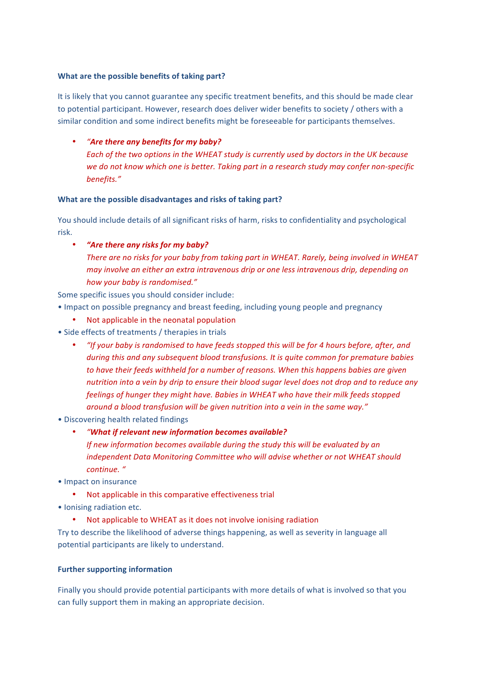# **What are the possible benefits of taking part?**

It is likely that you cannot guarantee any specific treatment benefits, and this should be made clear to potential participant. However, research does deliver wider benefits to society / others with a similar condition and some indirect benefits might be foreseeable for participants themselves.

# "Are there any benefits for my baby?

Each of the two options in the WHEAT study is currently used by doctors in the UK because we do not know which one is better. Taking part in a research study may confer non-specific *benefits."*

# **What are the possible disadvantages and risks of taking part?**

You should include details of all significant risks of harm, risks to confidentiality and psychological risk. 

*"Are there any risks for my baby?* There are no risks for your baby from taking part in WHEAT. Rarely, being involved in WHEAT *may involve an either an extra intravenous drip or one less intravenous drip, depending on how your baby is randomised."*

Some specific issues you should consider include:

- Impact on possible pregnancy and breast feeding, including young people and pregnancy
	- Not applicable in the neonatal population
- Side effects of treatments / therapies in trials
	- *"If your baby is randomised to have feeds stopped this will be for 4 hours before, after, and during this and any subsequent blood transfusions. It is quite common for premature babies* to have their feeds withheld for a number of reasons. When this happens babies are given *nutrition* into a vein by drip to ensure their blood sugar level does not drop and to reduce any feelings of hunger they might have. Babies in WHEAT who have their milk feeds stopped around a blood transfusion will be given nutrition into a vein in the same way."
- Discovering health related findings
	- *"What if relevant new information becomes available?*

*If new information becomes available during the study this will be evaluated by an* independent Data Monitoring Committee who will advise whether or not WHEAT should *continue. "*

- Impact on insurance
	- Not applicable in this comparative effectiveness trial
- Ionising radiation etc.
	- Not applicable to WHEAT as it does not involve ionising radiation

Try to describe the likelihood of adverse things happening, as well as severity in language all potential participants are likely to understand.

## **Further supporting information**

Finally you should provide potential participants with more details of what is involved so that you can fully support them in making an appropriate decision.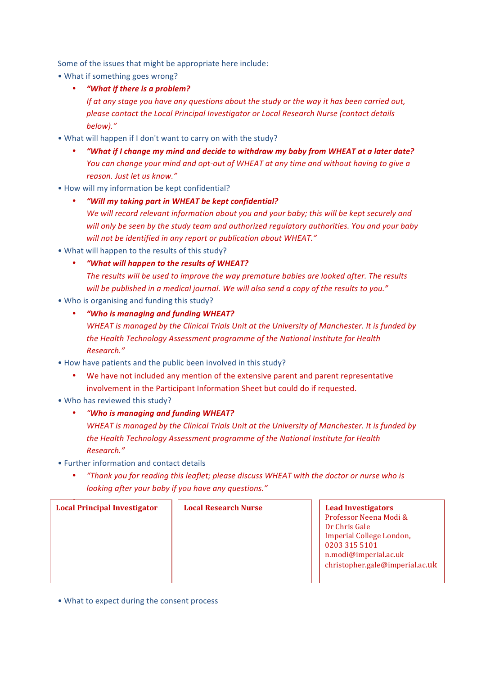Some of the issues that might be appropriate here include:

- What if something goes wrong?
	- *"What if there is a problem?*

*If* at any stage you have any questions about the study or the way it has been carried out, please contact the Local Principal Investigator or Local Research Nurse (contact details *below)."*

- What will happen if I don't want to carry on with the study?
	- *"What if I change my mind and decide to withdraw my baby from WHEAT at a later date? You* can change your mind and opt-out of WHEAT at any time and without having to give a *reason. Just let us know."*
- How will my information be kept confidential?
	- *"Will my taking part in WHEAT be kept confidential?*

We will record relevant information about you and your baby; this will be kept securely and will only be seen by the study team and authorized regulatory authorities. You and your baby will not be identified in any report or publication about WHEAT."

- What will happen to the results of this study?
	- *"What will happen to the results of WHEAT?* The results will be used to improve the way premature babies are looked after. The results will be published in a medical journal. We will also send a copy of the results to you."
- Who is organising and funding this study?
	- *"Who is managing and funding WHEAT?*

*WHEAT* is managed by the Clinical Trials Unit at the University of Manchester. It is funded by the Health Technology Assessment programme of the National Institute for Health *Research."*

- How have patients and the public been involved in this study?
	- We have not included any mention of the extensive parent and parent representative involvement in the Participant Information Sheet but could do if requested.
- Who has reviewed this study?
	- *"Who is managing and funding WHEAT?*

*WHEAT* is managed by the Clinical Trials Unit at the University of Manchester. It is funded by *the Health Technology Assessment programme of the National Institute for Health Research."*

- Further information and contact details
	- *"Thank you for reading this leaflet; please discuss WHEAT with the doctor or nurse who is looking after your baby if you have any questions."*

| <b>Local Principal Investigator</b> | <b>Local Research Nurse</b> | <b>Lead Investigators</b><br>Professor Neena Modi &<br>Dr Chris Gale<br>Imperial College London,<br>0203 315 5101<br>n.modi@imperial.ac.uk<br>christopher.gale@imperial.ac.uk |
|-------------------------------------|-----------------------------|-------------------------------------------------------------------------------------------------------------------------------------------------------------------------------|
|-------------------------------------|-----------------------------|-------------------------------------------------------------------------------------------------------------------------------------------------------------------------------|

• What to expect during the consent process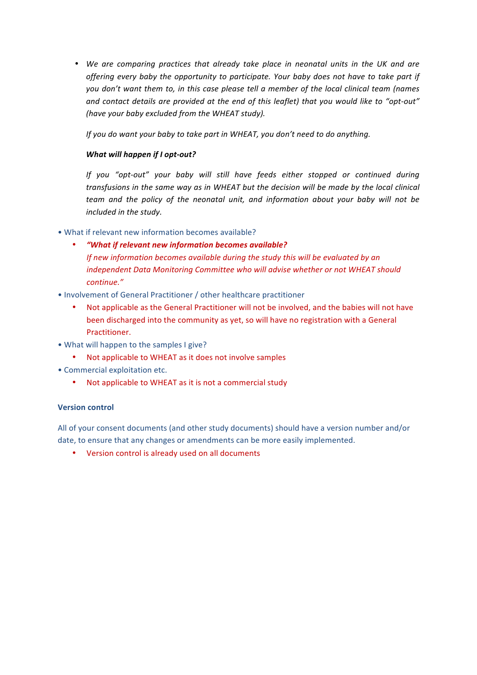• We are comparing practices that already take place in neonatal units in the UK and are offering every baby the opportunity to participate. Your baby does not have to take part if you don't want them to, in this case please tell a member of the local clinical team (names and contact details are provided at the end of this leaflet) that you would like to "opt-out" (have your baby excluded from the WHEAT study).

*If* you do want your baby to take part in WHEAT, you don't need to do anything.

# *What will happen if I opt-out?*

*If* you "opt-out" your baby will still have feeds either stopped or continued during transfusions in the same way as in WHEAT but the decision will be made by the local clinical *team* and the policy of the neonatal unit, and information about your baby will not be *included in the study.* 

• What if relevant new information becomes available?

- *"What if relevant new information becomes available? If new information becomes available during the study this will be evaluated by an independent Data Monitoring Committee who will advise whether or not WHEAT should continue."*
- Involvement of General Practitioner / other healthcare practitioner
	- Not applicable as the General Practitioner will not be involved, and the babies will not have been discharged into the community as yet, so will have no registration with a General Practitioner.
- What will happen to the samples I give?
	- Not applicable to WHEAT as it does not involve samples
- Commercial exploitation etc.
	- Not applicable to WHEAT as it is not a commercial study

## **Version control**

All of your consent documents (and other study documents) should have a version number and/or date, to ensure that any changes or amendments can be more easily implemented.

• Version control is already used on all documents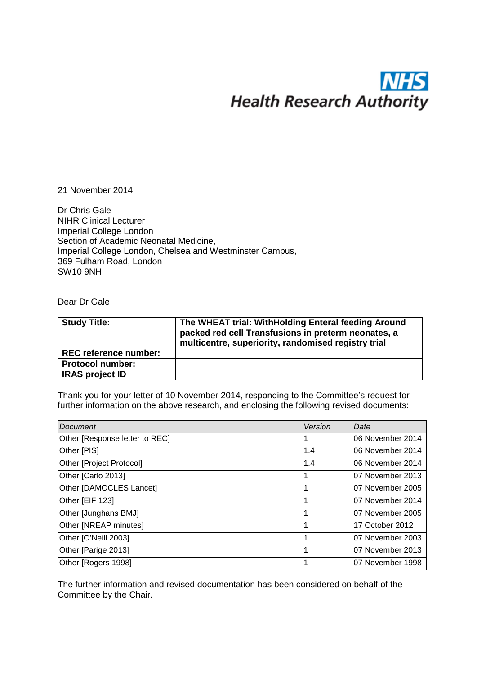# <u>INI</u> **Health Research Authority**

21 November 2014

Dr Chris Gale NIHR Clinical Lecturer Imperial College London Section of Academic Neonatal Medicine, Imperial College London, Chelsea and Westminster Campus, 369 Fulham Road, London SW10 9NH

Dear Dr Gale

| <b>Study Title:</b>          | The WHEAT trial: WithHolding Enteral feeding Around<br>packed red cell Transfusions in preterm neonates, a<br>multicentre, superiority, randomised registry trial |
|------------------------------|-------------------------------------------------------------------------------------------------------------------------------------------------------------------|
| <b>REC reference number:</b> |                                                                                                                                                                   |
| <b>Protocol number:</b>      |                                                                                                                                                                   |
| <b>IRAS project ID</b>       |                                                                                                                                                                   |

Thank you for your letter of 10 November 2014, responding to the Committee's request for further information on the above research, and enclosing the following revised documents:

| Document                       | Version | Date              |
|--------------------------------|---------|-------------------|
| Other [Response letter to REC] |         | I06 November 2014 |
| Other [PIS]                    | 1.4     | I06 November 2014 |
| Other [Project Protocol]       | 1.4     | I06 November 2014 |
| Other [Carlo 2013]             |         | l07 November 2013 |
| Other [DAMOCLES Lancet]        |         | l07 November 2005 |
| Other [EIF 123]                |         | 107 November 2014 |
| Other [Junghans BMJ]           |         | 07 November 2005  |
| Other [NREAP minutes]          |         | 17 October 2012   |
| Other [O'Neill 2003]           |         | 107 November 2003 |
| Other [Parige 2013]            |         | 07 November 2013  |
| Other [Rogers 1998]            |         | 107 November 1998 |

The further information and revised documentation has been considered on behalf of the Committee by the Chair.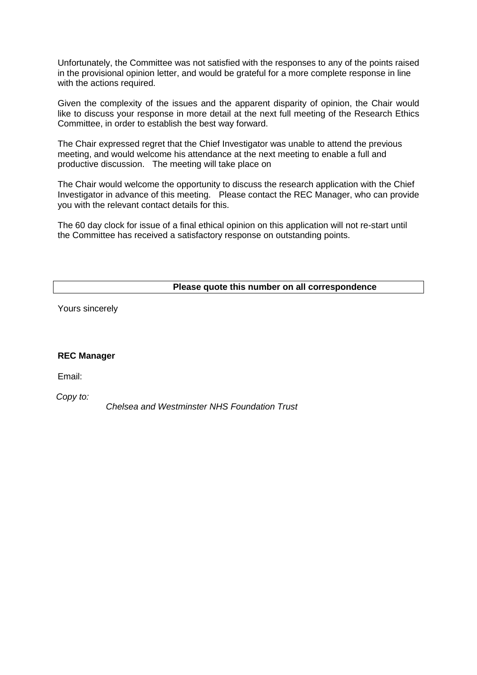Unfortunately, the Committee was not satisfied with the responses to any of the points raised in the provisional opinion letter, and would be grateful for a more complete response in line with the actions required.

Given the complexity of the issues and the apparent disparity of opinion, the Chair would like to discuss your response in more detail at the next full meeting of the Research Ethics Committee, in order to establish the best way forward.

The Chair expressed regret that the Chief Investigator was unable to attend the previous meeting, and would welcome his attendance at the next meeting to enable a full and productive discussion. The meeting will take place on

The Chair would welcome the opportunity to discuss the research application with the Chief Investigator in advance of this meeting. Please contact the REC Manager, who can provide you with the relevant contact details for this.

The 60 day clock for issue of a final ethical opinion on this application will not re-start until the Committee has received a satisfactory response on outstanding points.

# **Please quote this number on all correspondence**

Yours sincerely

## **REC Manager**

Email:

*Copy to:*

*Chelsea and Westminster NHS Foundation Trust*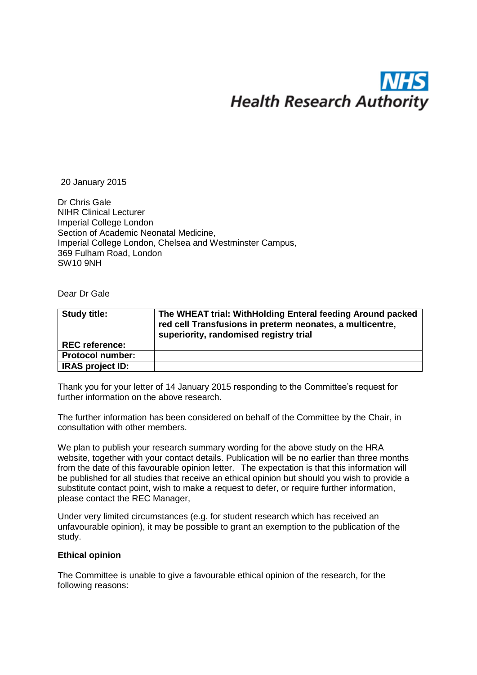# **Health Research Authority**

20 January 2015

Dr Chris Gale NIHR Clinical Lecturer Imperial College London Section of Academic Neonatal Medicine, Imperial College London, Chelsea and Westminster Campus, 369 Fulham Road, London SW10 9NH

Dear Dr Gale

| <b>Study title:</b>     | The WHEAT trial: WithHolding Enteral feeding Around packed<br>red cell Transfusions in preterm neonates, a multicentre,<br>superiority, randomised registry trial |
|-------------------------|-------------------------------------------------------------------------------------------------------------------------------------------------------------------|
| <b>REC reference:</b>   |                                                                                                                                                                   |
| <b>Protocol number:</b> |                                                                                                                                                                   |
| IRAS project ID:        |                                                                                                                                                                   |

Thank you for your letter of 14 January 2015 responding to the Committee's request for further information on the above research.

The further information has been considered on behalf of the Committee by the Chair, in consultation with other members.

We plan to publish your research summary wording for the above study on the HRA website, together with your contact details. Publication will be no earlier than three months from the date of this favourable opinion letter. The expectation is that this information will be published for all studies that receive an ethical opinion but should you wish to provide a substitute contact point, wish to make a request to defer, or require further information, please contact the REC Manager,

[Under very limited circumstances \(e.g. for student](mailto:NRESCommittee.EastofEngland-Essex@nhs.net) research which has received an unfavourable opinion), it may be possible to grant an exemption to the publication of the study.

# **Ethical opinion**

The Committee is unable to give a favourable ethical opinion of the research, for the following reasons: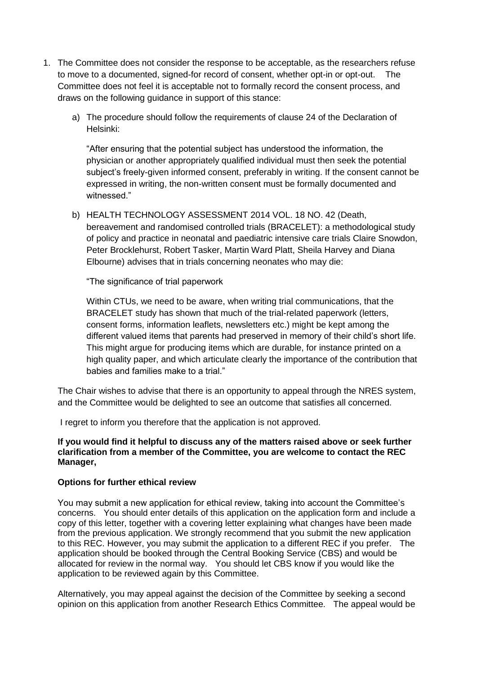- 1. The Committee does not consider the response to be acceptable, as the researchers refuse to move to a documented, signed-for record of consent, whether opt-in or opt-out. The Committee does not feel it is acceptable not to formally record the consent process, and draws on the following guidance in support of this stance:
	- a) The procedure should follow the requirements of clause 24 of the Declaration of Helsinki:

"After ensuring that the potential subject has understood the information, the physician or another appropriately qualified individual must then seek the potential subject's freely-given informed consent, preferably in writing. If the consent cannot be expressed in writing, the non-written consent must be formally documented and witnessed."

b) HEALTH TECHNOLOGY ASSESSMENT 2014 VOL. 18 NO. 42 (Death, bereavement and randomised controlled trials (BRACELET): a methodological study of policy and practice in neonatal and paediatric intensive care trials Claire Snowdon, Peter Brocklehurst, Robert Tasker, Martin Ward Platt, Sheila Harvey and Diana Elbourne) advises that in trials concerning neonates who may die:

"The significance of trial paperwork

Within CTUs, we need to be aware, when writing trial communications, that the BRACELET study has shown that much of the trial-related paperwork (letters, consent forms, information leaflets, newsletters etc.) might be kept among the different valued items that parents had preserved in memory of their child's short life. This might argue for producing items which are durable, for instance printed on a high quality paper, and which articulate clearly the importance of the contribution that babies and families make to a trial."

The Chair wishes to advise that there is an opportunity to appeal through the NRES system, and the Committee would be delighted to see an outcome that satisfies all concerned.

I regret to inform you therefore that the application is not approved.

# **If you would find it helpful to discuss any of the matters raised above or seek further clarification from a member of the Committee, you are welcome to contact the REC Manager,**

# **Options for further ethical review**

You may submit a new application for ethical review, taking into account the Committee's concerns. You should enter details of this application on the application form and include a copy of this letter, together with a covering letter explaining what changes have been made from the previous application. We strongly recommend that you submit the new application to this REC. However, you may submit the application to a different REC if you prefer. The application should be booked through the Central Booking Service (CBS) and would be allocated for review in the normal way. You should let CBS know if you would like the application to be reviewed again by this Committee.

Alternatively, you may appeal against the decision of the Committee by seeking a second opinion on this application from another Research Ethics Committee. The appeal would be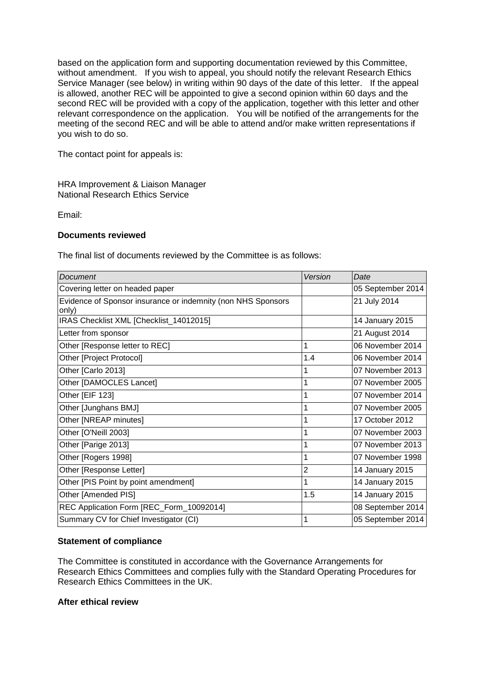based on the application form and supporting documentation reviewed by this Committee, without amendment. If you wish to appeal, you should notify the relevant Research Ethics Service Manager (see below) in writing within 90 days of the date of this letter. If the appeal is allowed, another REC will be appointed to give a second opinion within 60 days and the second REC will be provided with a copy of the application, together with this letter and other relevant correspondence on the application. You will be notified of the arrangements for the meeting of the second REC and will be able to attend and/or make written representations if you wish to do so.

The contact point for appeals is:

HRA Improvement & Liaison Manager National Research Ethics Service

Email:

# **Documents reviewed**

The final list of documents reviewed by the Committee is as follows:

| Document                                                              | Version        | Date              |
|-----------------------------------------------------------------------|----------------|-------------------|
| Covering letter on headed paper                                       |                | 05 September 2014 |
| Evidence of Sponsor insurance or indemnity (non NHS Sponsors<br>only) |                | 21 July 2014      |
| IRAS Checklist XML [Checklist_14012015]                               |                | 14 January 2015   |
| Letter from sponsor                                                   |                | 21 August 2014    |
| Other [Response letter to REC]                                        | 1              | 06 November 2014  |
| Other [Project Protocol]                                              | 1.4            | 06 November 2014  |
| Other [Carlo 2013]                                                    |                | 07 November 2013  |
| Other [DAMOCLES Lancet]                                               |                | 07 November 2005  |
| Other [EIF 123]                                                       |                | 07 November 2014  |
| Other [Junghans BMJ]                                                  |                | 07 November 2005  |
| Other [NREAP minutes]                                                 | 1              | 17 October 2012   |
| Other [O'Neill 2003]                                                  |                | 07 November 2003  |
| Other [Parige 2013]                                                   |                | 07 November 2013  |
| Other [Rogers 1998]                                                   |                | 07 November 1998  |
| Other [Response Letter]                                               | $\overline{2}$ | 14 January 2015   |
| Other [PIS Point by point amendment]                                  | 1              | 14 January 2015   |
| Other [Amended PIS]                                                   | 1.5            | 14 January 2015   |
| REC Application Form [REC_Form_10092014]                              |                | 08 September 2014 |
| Summary CV for Chief Investigator (CI)                                |                | 05 September 2014 |

# **Statement of compliance**

The Committee is constituted in accordance with the Governance Arrangements for Research Ethics Committees and complies fully with the Standard Operating Procedures for Research Ethics Committees in the UK.

# **After ethical review**